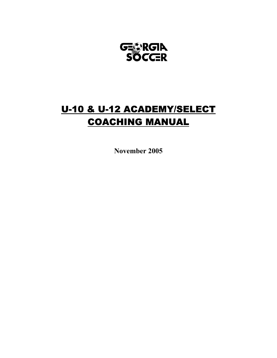

# U-10 & U-12 ACADEMY/SELECT COACHING MANUAL

**November 2005**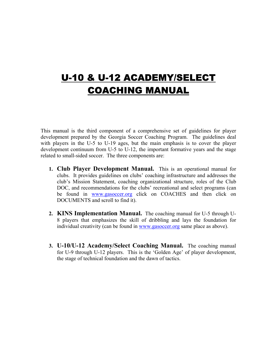# U-10 & U-12 ACADEMY/SELECT COACHING MANUAL

This manual is the third component of a comprehensive set of guidelines for player development prepared by the Georgia Soccer Coaching Program. The guidelines deal with players in the U-5 to U-19 ages, but the main emphasis is to cover the player development continuum from U-5 to U-12, the important formative years and the stage related to small-sided soccer. The three components are:

- **1. Club Player Development Manual.** This is an operational manual for clubs. It provides guidelines on clubs' coaching infrastructure and addresses the club's Mission Statement, coaching organizational structure, roles of the Club DOC, and recommendations for the clubs' recreational and select programs (can be found in www.gasoccer.org click on COACHES and then click on DOCUMENTS and scroll to find it).
- **2. KINS Implementation Manual.** The coaching manual for U-5 through U-8 players that emphasizes the skill of dribbling and lays the foundation for individual creativity (can be found in www.gasoccer.org same place as above).
- **3. U-10/U-12 Academy/Select Coaching Manual.** The coaching manual for U-9 through U-12 players. This is the 'Golden Age' of player development, the stage of technical foundation and the dawn of tactics.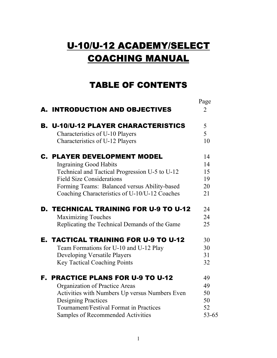# U-10/U-12 ACADEMY/SELECT COACHING MANUAL

# TABLE OF CONTENTS

|                                                | Page           |
|------------------------------------------------|----------------|
| A. INTRODUCTION AND OBJECTIVES                 | $\overline{2}$ |
| <b>B. U-10/U-12 PLAYER CHARACTERISTICS</b>     | 5              |
| Characteristics of U-10 Players                | 5              |
| Characteristics of U-12 Players                | 10             |
| <b>C. PLAYER DEVELOPMENT MODEL</b>             | 14             |
| <b>Ingraining Good Habits</b>                  | 14             |
| Technical and Tactical Progression U-5 to U-12 | 15             |
| <b>Field Size Considerations</b>               | 19             |
| Forming Teams: Balanced versus Ability-based   | 20             |
| Coaching Characteristics of U-10/U-12 Coaches  | 21             |
| <b>D. TECHNICAL TRAINING FOR U-9 TO U-12</b>   | 24             |
| <b>Maximizing Touches</b>                      | 24             |
| Replicating the Technical Demands of the Game  | 25             |
| <b>E. TACTICAL TRAINING FOR U-9 TO U-12</b>    | 30             |
| Team Formations for U-10 and U-12 Play         | 30             |
| Developing Versatile Players                   | 31             |
| <b>Key Tactical Coaching Points</b>            | 32             |
| <b>F. PRACTICE PLANS FOR U-9 TO U-12</b>       | 49             |
| Organization of Practice Areas                 | 49             |
| Activities with Numbers Up versus Numbers Even | 50             |
| <b>Designing Practices</b>                     | 50             |
| Tournament/Festival Format in Practices        | 52             |
| Samples of Recommended Activities              | $53 - 65$      |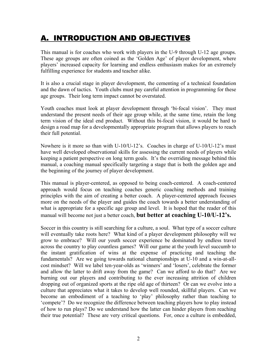# A. INTRODUCTION AND OBJECTIVES

This manual is for coaches who work with players in the U-9 through U-12 age groups. These age groups are often coined as the 'Golden Age' of player development, where players' increased capacity for learning and endless enthusiasm makes for an extremely fulfilling experience for students and teacher alike.

It is also a crucial stage in player development, the cementing of a technical foundation and the dawn of tactics. Youth clubs must pay careful attention in programming for these age groups. Their long term impact cannot be overstated.

Youth coaches must look at player development through 'bi-focal vision'. They must understand the present needs of their age group while, at the same time, retain the long term vision of the ideal end product. Without this bi-focal vision, it would be hard to design a road map for a developmentally appropriate program that allows players to reach their full potential.

Nowhere is it more so than with U-10/U-12's. Coaches in charge of U-10/U-12's must have well developed observational skills for assessing the current needs of players while keeping a patient perspective on long term goals. It's the overriding message behind this manual, a coaching manual specifically targeting a stage that is both the golden age and the beginning of the journey of player development.

This manual is player-centered, as opposed to being coach-centered. A coach-centered approach would focus on teaching coaches generic coaching methods and training principles with the aim of creating a better coach. A player-centered approach focuses more on the needs of the player and guides the coach towards a better understanding of what is appropriate for a specific age group and level. It is hoped that the reader of this manual will become not just a better coach, **but better at coaching U-10/U-12's.** 

Soccer in this country is still searching for a culture, a soul. What type of a soccer culture will eventually take roots here? What kind of a player development philosophy will we grow to embrace? Will our youth soccer experience be dominated by endless travel across the country to play countless games? Will our game at the youth level succumb to the instant gratification of wins at the expense of practicing and teaching the fundamentals? Are we going towards national championships at U-10 and a win-at-allcost mindset? Will we label ten-year-olds as 'winners' and 'losers', celebrate the former and allow the latter to drift away from the game? Can we afford to do that? Are we burning out our players and contributing to the ever increasing attrition of children dropping out of organized sports at the ripe old age of thirteen? Or can we evolve into a culture that appreciates what it takes to develop well rounded, skillful players. Can we become an embodiment of a teaching to 'play' philosophy rather than teaching to 'compete'? Do we recognize the difference between teaching players how to play instead of how to run plays? Do we understand how the latter can hinder players from reaching their true potential? These are very critical questions. For, once a culture is embedded,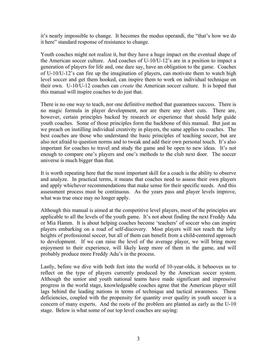it's nearly impossible to change. It becomes the modus operandi, the "that's how we do it here" standard response of resistance to change.

Youth coaches might not realize it, but they have a huge impact on the eventual shape of the American soccer culture. And coaches of U-10/U-12's are in a position to impact a generation of players for life and, one dare say, have an obligation to the game. Coaches of U-10/U-12's can fire up the imagination of players, can motivate them to watch high level soccer and get them hooked, can inspire them to work on individual technique on their own. U-10/U-12 coaches can *create* the American soccer culture. It is hoped that this manual will inspire coaches to do just that.

There is no one way to teach, nor one definitive method that guarantees success. There is no magic formula in player development, nor are there any short cuts. There are, however, certain principles backed by research or experience that should help guide youth coaches. Some of those principles form the backbone of this manual. But just as we preach on instilling individual creativity in players, the same applies to coaches. The best coaches are those who understand the basic principles of teaching soccer, but are also not afraid to question norms and to tweak and add their own personal touch. It's also important for coaches to travel and study the game and be open to new ideas. It's not enough to compare one's players and one's methods to the club next door. The soccer universe is much bigger than that.

It is worth repeating here that the most important skill for a coach is the ability to observe and analyze. In practical terms, it means that coaches need to assess their own players and apply whichever recommendations that make sense for their specific needs. And this assessment process must be continuous. As the years pass and player levels improve, what was true once may no longer apply.

Although this manual is aimed at the competitive level players, most of the principles are applicable to all the levels of the youth game. It's not about finding the next Freddy Adu or Mia Hamm. It is about helping coaches become 'teachers' of soccer who can inspire players embarking on a road of self-discovery. Most players will not reach the lofty heights of professional soccer, but all of them can benefit from a child-centered approach to development. If we can raise the level of the average player, we will bring more enjoyment to their experience, will likely keep more of them in the game, and will probably produce more Freddy Adu's in the process.

Lastly, before we dive with both feet into the world of 10-year-olds, it behooves us to reflect on the type of players currently produced by the American soccer system. Although the senior and youth national teams have made significant and impressive progress in the world stage, knowledgeable coaches agree that the American player still lags behind the leading nations in terms of technique and tactical awareness. These deficiencies, coupled with the propensity for quantity over quality in youth soccer is a concern of many experts. And the roots of the problem are planted as early as the U-10 stage. Below is what some of our top level coaches are saying: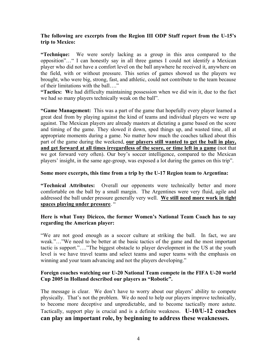#### **The following are excerpts from the Region III ODP Staff report from the U-15's trip to Mexico:**

**"Technique:** We were sorely lacking as a group in this area compared to the opposition"…" I can honestly say in all three games I could not identify a Mexican player who did not have a comfort level on the ball anywhere he received it, anywhere on the field, with or without pressure. This series of games showed us the players we brought, who were big, strong, fast, and athletic, could not contribute to the team because of their limitations with the ball…."

**"Tactics: W**e had difficulty maintaining possession when we did win it, due to the fact we had so many players technically weak on the ball".

**"Game Management:** This was a part of the game that hopefully every player learned a great deal from by playing against the kind of teams and individual players we were up against. The Mexican players are already masters at dictating a game based on the score and timing of the game. They slowed it down, sped things up, and wasted time, all at appropriate moments during a game. No matter how much the coaches talked about this part of the game during the weekend, **our players still wanted to get the ball in play, and get forward at all times irregardless of the score, or time left in a game** (not that we got forward very often). Our boy's soccer intelligence, compared to the Mexican players' insight, in the same age-group, was exposed a lot during the games on this trip".

#### **Some more excerpts, this time from a trip by the U-17 Region team to Argentina:**

**"Technical Attributes:** Overall our opponents were technically better and more comfortable on the ball by a small margin. The Argentines were very fluid, agile and addressed the ball under pressure generally very well. **We still need more work in tight spaces playing under pressure**. "

#### **Here is what Tony Dicicco, the former Women's National Team Coach has to say regarding the American player:**

"We are not good enough as a soccer culture at striking the ball. In fact, we are weak."…"We need to be better at the basic tactics of the game and the most important tactic is support."…."The biggest obstacle to player development in the US at the youth level is we have travel teams and select teams and super teams with the emphasis on winning and your team advancing and not the players developing."

#### **Foreign coaches watching our U-20 National Team compete in the FIFA U-20 world Cup 2005 in Holland described our players as "Robotic".**

The message is clear. We don't have to worry about our players' ability to compete physically. That's not the problem. We do need to help our players improve technically, to become more deceptive and unpredictable, and to become tactically more astute. Tactically, support play is crucial and is a definite weakness. **U-10/U-12 coaches can play an important role, by beginning to address these weaknesses.**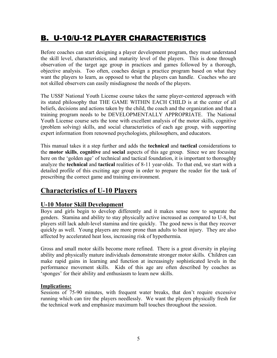# B. U-10/U-12 PLAYER CHARACTERISTICS

Before coaches can start designing a player development program, they must understand the skill level, characteristics, and maturity level of the players. This is done through observation of the target age group in practices and games followed by a thorough, objective analysis. Too often, coaches design a practice program based on what they want the players to learn, as opposed to what the players can handle. Coaches who are not skilled observers can easily misdiagnose the needs of the players.

The USSF National Youth License course takes the same player-centered approach with its stated philosophy that THE GAME WITHIN EACH CHILD is at the center of all beliefs, decisions and actions taken by the child, the coach and the organization and that a training program needs to be DEVELOPMENTALLY APPROPRIATE. The National Youth License course sets the tone with excellent analysis of the motor skills, cognitive (problem solving) skills, and social characteristics of each age group, with supporting expert information from renowned psychologists, philosophers, and educators.

This manual takes it a step further and adds the **technical** and **tactical** considerations to the **motor skills**, **cognitive** and **social** aspects of this age group. Since we are focusing here on the 'golden age' of technical and tactical foundation, it is important to thoroughly analyze the **technical** and **tactical** realities of 8-11 year-olds. To that end, we start with a detailed profile of this exciting age group in order to prepare the reader for the task of prescribing the correct game and training environment.

## **Characteristics of U-10 Players**

## **U-10 Motor Skill Development**

Boys and girls begin to develop differently and it makes sense now to separate the genders. Stamina and ability to stay physically active increased as compared to U-8, but players still lack adult-level stamina and tire quickly. The good news is that they recover quickly as well. Young players are more prone than adults to heat injury. They are also affected by accelerated heat loss, increasing risk of hypothermia.

Gross and small motor skills become more refined. There is a great diversity in playing ability and physically mature individuals demonstrate stronger motor skills. Children can make rapid gains in learning and function at increasingly sophisticated levels in the performance movement skills. Kids of this age are often described by coaches as 'sponges' for their ability and enthusiasm to learn new skills.

### **Implications:**

Sessions of 75-90 minutes, with frequent water breaks, that don't require excessive running which can tire the players needlessly. We want the players physically fresh for the technical work and emphasize maximum ball touches throughout the session.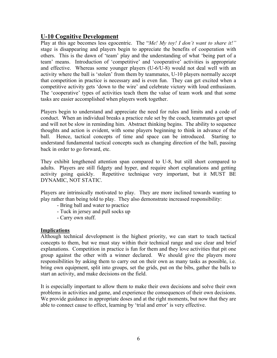### **U-10 Cognitive Development**

Play at this age becomes less egocentric. The "*Me! My toy! I don't want to share it!"* stage is disappearing and players begin to appreciate the benefits of cooperation with others. This is the dawn of 'team' play and the understanding of what 'being part of a team' means. Introduction of 'competitive' and 'cooperative' activities is appropriate and effective. Whereas some younger players (U-6/U-8) would not deal well with an activity where the ball is 'stolen' from them by teammates, U-10 players normally accept that competition in practice is necessary and is even fun. They can get excited when a competitive activity gets 'down to the wire' and celebrate victory with loud enthusiasm. The 'cooperative' types of activities teach them the value of team work and that some tasks are easier accomplished when players work together.

Players begin to understand and appreciate the need for rules and limits and a code of conduct. When an individual breaks a practice rule set by the coach, teammates get upset and will not be slow in reminding him. Abstract thinking begins. The ability to sequence thoughts and action is evident, with some players beginning to think in advance of the ball. Hence, tactical concepts of time and space can be introduced. Starting to understand fundamental tactical concepts such as changing direction of the ball, passing back in order to go forward, etc.

They exhibit lengthened attention span compared to U-8, but still short compared to adults. Players are still fidgety and hyper, and require short explanations and getting activity going quickly. Repetitive technique very important, but it MUST BE DYNAMIC, NOT STATIC.

Players are intrinsically motivated to play. They are more inclined towards wanting to play rather than being told to play. They also demonstrate increased responsibility:

- Bring ball and water to practice
- Tuck in jersey and pull socks up
- Carry own stuff.

### **Implications**

Although technical development is the highest priority, we can start to teach tactical concepts to them, but we must stay within their technical range and use clear and brief explanations. Competition in practice is fun for them and they love activities that pit one group against the other with a winner declared. We should give the players more responsibilities by asking them to carry out on their own as many tasks as possible, i.e. bring own equipment, split into groups, set the grids, put on the bibs, gather the balls to start an activity, and make decisions on the field.

It is especially important to allow them to make their own decisions and solve their own problems in activities and game, and experience the consequences of their own decisions. We provide guidance in appropriate doses and at the right moments, but now that they are able to connect cause to effect, learning by 'trial and error' is very effective.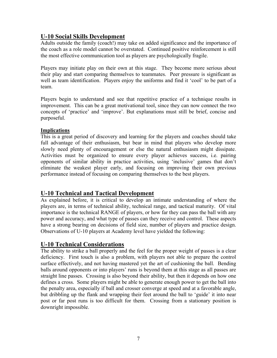## **U-10 Social Skills Development**

Adults outside the family (coach!) may take on added significance and the importance of the coach as a role model cannot be overstated. Continued positive reinforcement is still the most effective communication tool as players are psychologically fragile.

Players may initiate play on their own at this stage. They become more serious about their play and start comparing themselves to teammates. Peer pressure is significant as well as team identification. Players enjoy the uniforms and find it 'cool' to be part of a team.

Players begin to understand and see that repetitive practice of a technique results in improvement. This can be a great motivational tool, since they can now connect the two concepts of 'practice' and 'improve'. But explanations must still be brief, concise and purposeful.

### **Implications**

This is a great period of discovery and learning for the players and coaches should take full advantage of their enthusiasm, but bear in mind that players who develop more slowly need plenty of encouragement or else the natural enthusiasm might dissipate. Activities must be organized to ensure every player achieves success, i.e. pairing opponents of similar ability in practice activities, using 'inclusive' games that don't eliminate the weakest player early, and focusing on improving their own previous performance instead of focusing on comparing themselves to the best players.

### **U-10 Technical and Tactical Development**

As explained before, it is critical to develop an intimate understanding of where the players are, in terms of technical ability, technical range, and tactical maturity. Of vital importance is the technical RANGE of players, or how far they can pass the ball with any power and accuracy, and what type of passes can they receive and control. These aspects have a strong bearing on decisions of field size, number of players and practice design. Observations of U-10 players at Academy level have yielded the following:

## **U-10 Technical Considerations**

The ability to strike a ball properly and the feel for the proper weight of passes is a clear deficiency. First touch is also a problem, with players not able to prepare the control surface effectively, and not having mastered yet the art of cushioning the ball. Bending balls around opponents or into players' runs is beyond them at this stage as all passes are straight line passes. Crossing is also beyond their ability, but then it depends on how one defines a cross. Some players might be able to generate enough power to get the ball into the penalty area, especially if ball and crosser converge at speed and at a favorable angle, but dribbling up the flank and wrapping their feet around the ball to 'guide' it into near post or far post runs is too difficult for them. Crossing from a stationary position is downright impossible.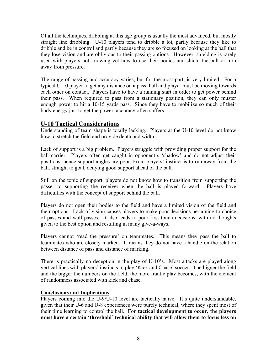Of all the techniques, dribbling at this age group is usually the most advanced, but mostly straight line dribbling. U-10 players tend to dribble a lot, partly because they like to dribble and be in control and partly because they are so focused on looking at the ball that they lose vision and are oblivious to their passing options. However, shielding is rarely used with players not knowing yet how to use their bodies and shield the ball or turn away from pressure.

The range of passing and accuracy varies, but for the most part, is very limited. For a typical U-10 player to get any distance on a pass, ball and player must be moving towards each other on contact. Players have to have a running start in order to get power behind their pass. When required to pass from a stationary position, they can only muster enough power to hit a 10-15 yards pass. Since they have to mobilize so much of their body energy just to get the power, accuracy often suffers.

## **U-10 Tactical Considerations**

Understanding of team shape is totally lacking. Players at the U-10 level do not know how to stretch the field and provide depth and width.

Lack of support is a big problem. Players struggle with providing proper support for the ball carrier. Players often get caught in opponent's 'shadow' and do not adjust their positions, hence support angles are poor. Front players' instinct is to run away from the ball, straight to goal, denying good support ahead of the ball.

Still on the topic of support, players do not know how to transition from supporting the passer to supporting the receiver when the ball is played forward. Players have difficulties with the concept of support behind the ball.

Players do not open their bodies to the field and have a limited vision of the field and their options. Lack of vision causes players to make poor decisions pertaining to choice of passes and wall passes. It also leads to poor first touch decisions, with no thoughts given to the best option and resulting in many give-a-ways.

Players cannot 'read the pressure' on teammates. This means they pass the ball to teammates who are closely marked. It means they do not have a handle on the relation between distance of pass and distance of marking.

There is practically no deception in the play of U-10's. Most attacks are played along vertical lines with players' instincts to play 'Kick and Chase' soccer. The bigger the field and the bigger the numbers on the field, the more frantic play becomes, with the element of randomness associated with kick and chase.

### **Conclusions and Implications**

Players coming into the U-9/U-10 level are tactically naïve. It's quite understandable, given that their U-6 and U-8 experiences were purely technical, where they spent most of their time learning to control the ball. **For tactical development to occur, the players must have a certain 'threshold' technical ability that will allow them to focus less on**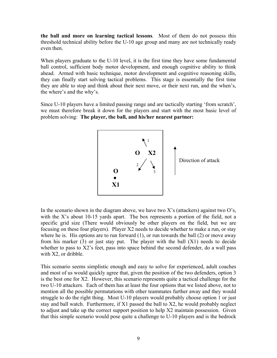**the ball and more on learning tactical lessons**. Most of them do not possess this threshold technical ability before the U-10 age group and many are not technically ready even then.

When players graduate to the U-10 level, it is the first time they have some fundamental ball control, sufficient body motor development, and enough cognitive ability to think ahead. Armed with basic technique, motor development and cognitive reasoning skills, they can finally start solving tactical problems. This stage is essentially the first time they are able to stop and think about their next move, or their next run, and the when's, the where's and the why's.

Since U-10 players have a limited passing range and are tactically starting 'from scratch', we must therefore break it down for the players and start with the most basic level of problem solving: **The player, the ball, and his/her nearest partner:** 



In the scenario shown in the diagram above, we have two X's (attackers) against two O's, with the X's about 10-15 yards apart. The box represents a portion of the field, not a specific grid size (There would obviously be other players on the field, but we are focusing on these four players). Player X2 needs to decide whether to make a run, or stay where he is. His options are to run forward  $(1)$ , or run towards the ball  $(2)$  or move away from his marker (3) or just stay put. The player with the ball (X1) needs to decide whether to pass to X2's feet, pass into space behind the second defender, do a wall pass with X2, or dribble.

This scenario seems simplistic enough and easy to solve for experienced, adult coaches and most of us would quickly agree that, given the position of the two defenders, option 3 is the best one for X2. However, this scenario represents quite a tactical challenge for the two U-10 attackers. Each of them has at least the four options that we listed above, not to mention all the possible permutations with other teammates further away and they would struggle to do the right thing. Most U-10 players would probably choose option 1 or just stay and ball watch. Furthermore, if X1 passed the ball to X2, he would probably neglect to adjust and take up the correct support position to help X2 maintain possession. Given that this simple scenario would pose quite a challenge to U-10 players and is the bedrock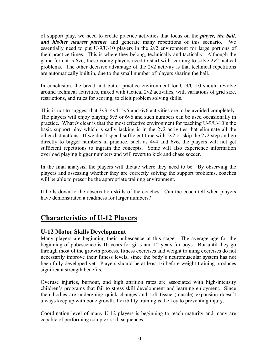of support play, we need to create practice activities that focus on the *player, the ball, and his/her nearest partner* and generate many repetitions of this scenario. We essentially need to put U-9/U-10 players in the 2v2 environment for large portions of their practice times. This is where they belong, technically and tactically. Although the game format is 6v6, these young players need to start with learning to solve 2v2 tactical problems. The other decisive advantage of the 2v2 activity is that technical repetitions are automatically built in, due to the small number of players sharing the ball.

In conclusion, the bread and butter practice environment for U-9/U-10 should revolve around technical activities, mixed with tactical 2v2 activities, with variations of grid size, restrictions, and rules for scoring, to elicit problem solving skills.

This is not to suggest that 3v3, 4v4, 5v5 and 6v6 activities are to be avoided completely. The players will enjoy playing 5v5 or 6v6 and such numbers can be used occasionally in practice. What *is* clear is that the most effective environment for teaching U-9/U-10's the basic support play which is sadly lacking is in the 2v2 activities that eliminate all the other distractions. If we don't spend sufficient time with 2v2 or skip the 2v2 step and go directly to bigger numbers in practice, such as 4v4 and 6v6, the players will not get sufficient repetitions to ingrain the concepts. Some will also experience information overload playing bigger numbers and will revert to kick and chase soccer.

In the final analysis, the players will dictate where they need to be. By observing the players and assessing whether they are correctly solving the support problems, coaches will be able to prescribe the appropriate training environment.

It boils down to the observation skills of the coaches. Can the coach tell when players have demonstrated a readiness for larger numbers?

## **Characteristics of U-12 Players**

## **U-12 Motor Skills Development**

Many players are beginning their pubescence at this stage. The average age for the beginning of pubescence is 10 years for girls and 12 years for boys. But until they go through most of the growth process, fitness exercises and weight training exercises do not necessarily improve their fitness levels, since the body's neuromuscular system has not been fully developed yet. Players should be at least 16 before weight training produces significant strength benefits.

Overuse injuries, burnout, and high attrition rates are associated with high-intensity children's programs that fail to stress skill development and learning enjoyment. Since their bodies are undergoing quick changes and soft tissue (muscle) expansion doesn't always keep up with bone growth, flexibility training is the key to preventing injury.

Coordination level of many U-12 players is beginning to reach maturity and many are capable of performing complex skill sequences.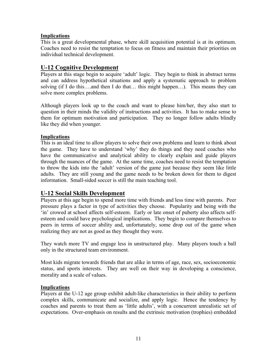### **Implications**

This is a great developmental phase, where skill acquisition potential is at its optimum. Coaches need to resist the temptation to focus on fitness and maintain their priorities on individual technical development.

### **U-12 Cognitive Development**

Players at this stage begin to acquire 'adult' logic. They begin to think in abstract terms and can address hypothetical situations and apply a systematic approach to problem solving (if I do this….and then I do that… this might happen…). This means they can solve more complex problems.

Although players look up to the coach and want to please him/her, they also start to question in their minds the validity of instructions and activities. It has to make sense to them for optimum motivation and participation. They no longer follow adults blindly like they did when younger.

#### **Implications**

This is an ideal time to allow players to solve their own problems and learn to think about the game. They have to understand 'why' they do things and they need coaches who have the communicative and analytical ability to clearly explain and guide players through the nuances of the game. At the same time, coaches need to resist the temptation to throw the kids into the 'adult' version of the game just because they seem like little adults. They are still young and the game needs to be broken down for them to digest information. Small-sided soccer is still the main teaching tool.

### **U-12 Social Skills Development**

Players at this age begin to spend more time with friends and less time with parents. Peer pressure plays a factor in type of activities they choose. Popularity and being with the 'in' crowed at school affects self-esteem. Early or late onset of puberty also affects selfesteem and could have psychological implications. They begin to compare themselves to peers in terms of soccer ability and, unfortunately, some drop out of the game when realizing they are not as good as they thought they were.

They watch more TV and engage less in unstructured play. Many players touch a ball only in the structured team environment.

Most kids migrate towards friends that are alike in terms of age, race, sex, socioeconomic status, and sports interests. They are well on their way in developing a conscience, morality and a scale of values.

### **Implications**

Players at the U-12 age group exhibit adult-like characteristics in their ability to perform complex skills, communicate and socialize, and apply logic. Hence the tendency by coaches and parents to treat them as 'little adults', with a concurrent unrealistic set of expectations. Over-emphasis on results and the extrinsic motivation (trophies) embedded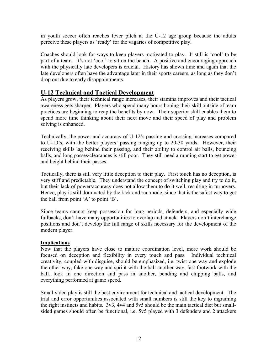in youth soccer often reaches fever pitch at the U-12 age group because the adults perceive these players as 'ready' for the vagaries of competitive play.

Coaches should look for ways to keep players motivated to play. It still is 'cool' to be part of a team. It's not 'cool' to sit on the bench. A positive and encouraging approach with the physically late developers is crucial. History has shown time and again that the late developers often have the advantage later in their sports careers, as long as they don't drop out due to early disappointments.

### **U-12 Technical and Tactical Development**

As players grow, their technical range increases, their stamina improves and their tactical awareness gets sharper. Players who spend many hours honing their skill outside of team practices are beginning to reap the benefits by now. Their superior skill enables them to spend more time thinking about their next move and their speed of play and problem solving is enhanced.

Technically, the power and accuracy of U-12's passing and crossing increases compared to U-10's, with the better players' passing ranging up to 20-30 yards. However, their receiving skills lag behind their passing, and their ability to control air balls, bouncing balls, and long passes/clearances is still poor. They still need a running start to get power and height behind their passes.

Tactically, there is still very little deception to their play. First touch has no deception, is very stiff and predictable. They understand the concept of switching play and try to do it, but their lack of power/accuracy does not allow them to do it well, resulting in turnovers. Hence, play is still dominated by the kick and run mode, since that is the safest way to get the ball from point 'A' to point 'B'.

Since teams cannot keep possession for long periods, defenders, and especially wide fullbacks, don't have many opportunities to overlap and attack. Players don't interchange positions and don't develop the full range of skills necessary for the development of the modern player.

### **Implications**

Now that the players have close to mature coordination level, more work should be focused on deception and flexibility in every touch and pass. Individual technical creativity, coupled with disguise, should be emphasized, i.e. twist one way and explode the other way, fake one way and sprint with the ball another way, fast footwork with the ball, look in one direction and pass in another, bending and chipping balls, and everything performed at game speed.

Small-sided play is still the best environment for technical and tactical development. The trial and error opportunities associated with small numbers is still the key to ingraining the right instincts and habits. 3v3, 4v4 and 5v5 should be the main tactical diet but smallsided games should often be functional, i.e. 5v5 played with 3 defenders and 2 attackers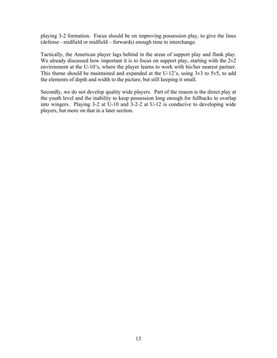playing 3-2 formation. Focus should be on improving possession play, to give the lines (defense - midfield or midfield – forwards) enough time to interchange.

Tactically, the American player lags behind in the areas of support play and flank play. We already discussed how important it is to focus on support play, starting with the  $2v2$ environment at the U-10's, where the player learns to work with his/her nearest partner. This theme should be maintained and expanded at the U-12's, using 3v3 to 5v5, to add the elements of depth and width to the picture, but still keeping it small.

Secondly, we do not develop quality wide players. Part of the reason is the direct play at the youth level and the inability to keep possession long enough for fullbacks to overlap into wingers. Playing 3-2 at U-10 and 3-2-2 at U-12 is conducive to developing wide players, but more on that in a later section.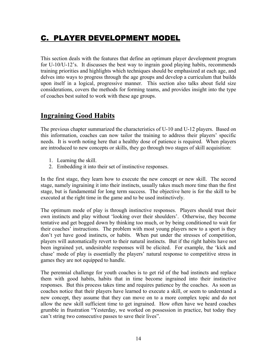# C. PLAYER DEVELOPMENT MODEL

This section deals with the features that define an optimum player development program for U-10/U-12's. It discusses the best way to ingrain good playing habits, recommends training priorities and highlights which techniques should be emphasized at each age, and delves into ways to progress through the age groups and develop a curriculum that builds upon itself in a logical, progressive manner. This section also talks about field size considerations, covers the methods for forming teams, and provides insight into the type of coaches best suited to work with these age groups.

## **Ingraining Good Habits**

The previous chapter summarized the characteristics of U-10 and U-12 players. Based on this information, coaches can now tailor the training to address their players' specific needs. It is worth noting here that a healthy dose of patience is required. When players are introduced to new concepts or skills, they go through two stages of skill acquisition:

- 1. Learning the skill.
- 2. Embedding it into their set of instinctive responses.

In the first stage, they learn how to execute the new concept or new skill. The second stage, namely ingraining it into their instincts, usually takes much more time than the first stage, but is fundamental for long term success. The objective here is for the skill to be executed at the right time in the game and to be used instinctively.

The optimum mode of play is through instinctive responses. Players should trust their own instincts and play without 'looking over their shoulders'. Otherwise, they become tentative and get bogged down by thinking too much, or by being conditioned to wait for their coaches' instructions. The problem with most young players new to a sport is they don't yet have good instincts, or habits. When put under the stresses of competition, players will automatically revert to their natural instincts. But if the right habits have not been ingrained yet, undesirable responses will be elicited. For example, the 'kick and chase' mode of play is essentially the players' natural response to competitive stress in games they are not equipped to handle.

The perennial challenge for youth coaches is to get rid of the bad instincts and replace them with good habits, habits that in time become ingrained into their instinctive responses. But this process takes time and requires patience by the coaches. As soon as coaches notice that their players have learned to execute a skill, or seem to understand a new concept, they assume that they can move on to a more complex topic and do not allow the new skill sufficient time to get ingrained. How often have we heard coaches grumble in frustration "Yesterday, we worked on possession in practice, but today they can't string two consecutive passes to save their lives".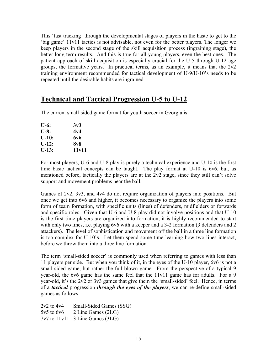This 'fast tracking' through the developmental stages of players in the haste to get to the 'big game' 11v11 tactics is not advisable, not even for the better players. The longer we keep players in the second stage of the skill acquisition process (ingraining stage), the better long term results. And this is true for all young players, even the best ones. The patient approach of skill acquisition is especially crucial for the U-5 through U-12 age groups, the formative years. In practical terms, as an example, it means that the 2v2 training environment recommended for tactical development of U-9/U-10's needs to be repeated until the desirable habits are ingrained.

## **Technical and Tactical Progression U-5 to U-12**

The current small-sided game format for youth soccer in Georgia is:

| $U-6:$  | 3v3   |
|---------|-------|
| $U-8:$  | 4v4   |
| $U-10:$ | 6v6   |
| $U-12:$ | 8v8   |
| U-13:   | 11v11 |

For most players, U-6 and U-8 play is purely a technical experience and U-10 is the first time basic tactical concepts can be taught. The play format at U-10 is 6v6, but, as mentioned before, tactically the players are at the 2v2 stage, since they still can't solve support and movement problems near the ball.

Games of 2v2, 3v3, and 4v4 do not require organization of players into positions. But once we get into 6v6 and higher, it becomes necessary to organize the players into some form of team formation, with specific units (lines) of defenders, midfielders or forwards and specific roles. Given that U-6 and U-8 play did not involve positions and that U-10 is the first time players are organized into formation, it is highly recommended to start with only two lines, i.e. playing 6v6 with a keeper and a 3-2 formation (3 defenders and 2 attackers). The level of sophistication and movement off the ball in a three line formation is too complex for U-10's. Let them spend some time learning how two lines interact, before we throw them into a three line formation.

The term 'small-sided soccer' is commonly used when referring to games with less than 11 players per side. But when you think of it, in the eyes of the U-10 player, 6v6 is not a small-sided game, but rather the full-blown game. From the perspective of a typical 9 year-old, the 6v6 game has the same feel that the 11v11 game has for adults. For a 9 year-old, it's the 2v2 or 3v3 games that give them the 'small-sided' feel. Hence, in terms of a *tactical* progression *through the eyes of the players*, we can re-define small-sided games as follows:

2v2 to 4v4 Small-Sided Games (SSG) 5v5 to 6v6 2 Line Games (2LG)  $7v7$  to  $11v11$  3 Line Games (3LG)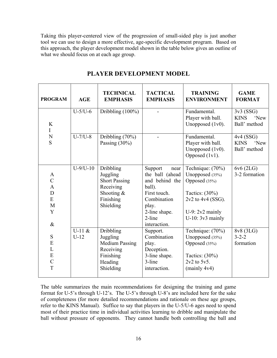Taking this player-centered view of the progression of small-sided play is just another tool we can use to design a more effective, age-specific development program. Based on this approach, the player development model shown in the table below gives an outline of what we should focus on at each age group.

| <b>PROGRAM</b>                                                  | AGE                | <b>TECHNICAL</b><br><b>EMPHASIS</b>                                                                  | <b>TACTICAL</b><br><b>EMPHASIS</b>                                                                                                                | <b>TRAINING</b><br><b>ENVIRONMENT</b>                                                                                                        | <b>GAME</b><br><b>FORMAT</b>                    |
|-----------------------------------------------------------------|--------------------|------------------------------------------------------------------------------------------------------|---------------------------------------------------------------------------------------------------------------------------------------------------|----------------------------------------------------------------------------------------------------------------------------------------------|-------------------------------------------------|
| K<br>I                                                          | $U-5/U-6$          | Dribbling $(100\%)$                                                                                  |                                                                                                                                                   | Fundamental.<br>Player with ball.<br>Unopposed (1v0).                                                                                        | 3v3(SSG)<br><b>KINS</b><br>'New<br>Ball' method |
| N<br>S                                                          | $U-7/U-8$          | $\overline{Dribbling}$ (70%)<br>Passing $(30\%)$                                                     | $\blacksquare$                                                                                                                                    | Fundamental.<br>Player with ball.<br>Unopposed $(1v0)$ .<br>Opposed (1v1).                                                                   | 4v4(SSG)<br><b>KINS</b><br>'New<br>Ball' method |
| A<br>$\overline{C}$<br>$\mathbf{A}$<br>D<br>E<br>M<br>Y<br>$\&$ | $U-9/U-10$         | Dribbling<br>Juggling<br><b>Short Passing</b><br>Receiving<br>Shooting $&$<br>Finishing<br>Shielding | Support<br>near<br>the ball (ahead<br>and behind the<br>ball).<br>First touch.<br>Combination<br>play.<br>2-line shape.<br>2-line<br>interaction. | Technique: (70%)<br>Unopposed (35%)<br>Opposed (35%)<br>Tactics: $(30\%)$<br>2v2 to 4v4 (SSG).<br>U-9: $2v2$ mainly<br>$U-10$ : $3v3$ mainly | $6v6(2LG)$<br>3-2 formation                     |
| S<br>E<br>L<br>${\bf E}$<br>$\overline{C}$<br>T                 | $U-11$ &<br>$U-12$ | Dribbling<br>Juggling<br><b>Medium Passing</b><br>Receiving<br>Finishing<br>Heading<br>Shielding     | Support.<br>Combination<br>play.<br>Deception.<br>3-line shape.<br>3-line<br>interaction.                                                         | Technique: (70%)<br>Unopposed (35%)<br>Opposed (35%)<br>Tactics: $(30\%)$<br>$2v2$ to $5v5$ .<br>$(\text{mainly } 4v4)$                      | 8v8 (3LG)<br>$3 - 2 - 2$<br>formation           |

## **PLAYER DEVELOPMENT MODEL**

The table summarizes the main recommendations for designing the training and game format for U-5's through U-12's. The U-5's through U-8's are included here for the sake of completeness (for more detailed recommendations and rationale on these age groups, refer to the KINS Manual). Suffice to say that players in the U-5/U-6 ages need to spend most of their practice time in individual activities learning to dribble and manipulate the ball without pressure of opponents. They cannot handle both controlling the ball and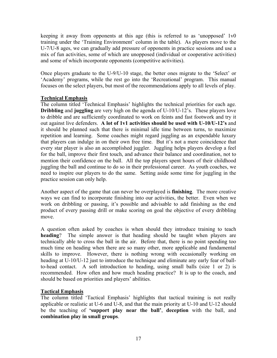keeping it away from opponents at this age (this is referred to as 'unopposed' 1v0 training under the 'Training Environment' column in the table). As players move to the U-7/U-8 ages, we can gradually add pressure of opponents in practice sessions and use a mix of fun activities, some of which are unopposed (individual or cooperative activities) and some of which incorporate opponents (competitive activities).

Once players graduate to the U-9/U-10 stage, the better ones migrate to the 'Select' or 'Academy' programs, while the rest go into the 'Recreational' program. This manual focuses on the select players, but most of the recommendations apply to all levels of play.

### **Technical Emphasis**

The column titled 'Technical Emphasis' highlights the technical priorities for each age. **Dribbling** and **juggling** are very high on the agenda of U-10/U-12's. These players love to dribble and are sufficiently coordinated to work on feints and fast footwork and try it out against live defenders. **A lot of 1v1 activities should be used with U-10/U-12's** and it should be planned such that there is minimal idle time between turns, to maximize repetition and learning. Some coaches might regard juggling as an expendable luxury that players can indulge in on their own free time. But it's not a mere coincidence that every star player is also an accomplished juggler. Juggling helps players develop a feel for the ball, improve their first touch, and advance their balance and coordination, not to mention their confidence on the ball. All the top players spent hours of their childhood juggling the ball and continue to do so in their professional career. As youth coaches, we need to inspire our players to do the same. Setting aside some time for juggling in the practice session can only help.

Another aspect of the game that can never be overplayed is **finishing**. The more creative ways we can find to incorporate finishing into our activities, the better. Even when we work on dribbling or passing, it's possible and advisable to add finishing as the end product of every passing drill or make scoring on goal the objective of every dribbling move.

A question often asked by coaches is when should they introduce training to teach **heading**? The simple answer is that heading should be taught when players are technically able to cross the ball in the air. Before that, there is no point spending too much time on heading when there are so many other, more applicable and fundamental skills to improve. However, there is nothing wrong with occasionally working on heading at U-10/U-12 just to introduce the technique and eliminate any early fear of ballto-head contact. A soft introduction to heading, using small balls (size 1 or 2) is recommended. How often and how much heading practice? It is up to the coach, and should be based on priorities and players' abilities.

### **Tactical Emphasis**

The column titled 'Tactical Emphasis' highlights that tactical training is not really applicable or realistic at U-6 and U-8, and that the main priority at U-10 and U-12 should be the teaching of **'support play near the ball'**, **deception** with the ball, and **combination play in small groups**.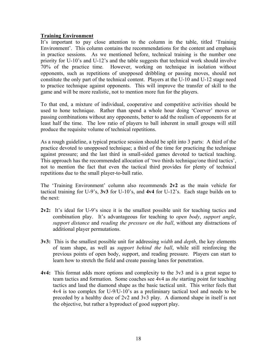#### **Training Environment**

It's important to pay close attention to the column in the table, titled 'Training Environment'. This column contains the recommendations for the content and emphasis in practice sessions. As we mentioned before, technical training is the number one priority for U-10's and U-12's and the table suggests that technical work should involve 70% of the practice time. However, working on technique in isolation without opponents, such as repetitions of unopposed dribbling or passing moves, should not constitute the only part of the technical content. Players at the U-10 and U-12 stage need to practice technique against opponents. This will improve the transfer of skill to the game and will be more realistic, not to mention more fun for the players.

To that end, a mixture of individual, cooperative and competitive activities should be used to hone technique. Rather than spend a whole hour doing 'Coerver' moves or passing combinations without any opponents, better to add the realism of opponents for at least half the time. The low ratio of players to ball inherent in small groups will still produce the requisite volume of technical repetitions.

As a rough guideline, a typical practice session should be split into 3 parts: A third of the practice devoted to unopposed technique; a third of the time for practicing the technique against pressure; and the last third in small-sided games devoted to tactical teaching. This approach has the recommended allocation of 'two thirds technique/one third tactics', not to mention the fact that even the tactical third provides for plenty of technical repetitions due to the small player-to-ball ratio.

The 'Training Environment' column also recommends **2v2** as the main vehicle for tactical training for U-9's, **3v3** for U-10's, and **4v4** for U-12's. Each stage builds on to the next:

- **2v2:** It's ideal for U-9's since it is the smallest possible unit for teaching tactics and combination play. It's advantageous for teaching to *open body*, *support angle*, *support distance* and *reading the pressure on the ball*, without any distractions of additional player permutations.
- **3v3:** This is the smallest possible unit for addressing *width* and *depth*, the key elements of team shape, as well as *support behind the ball*, while still reinforcing the previous points of open body, support, and reading pressure. Players can start to learn how to stretch the field and create passing lanes for penetration.
- **4v4:** This format adds more options and complexity to the 3v3 and is a great segue to team tactics and formation. Some coaches see 4v4 as *the* starting point for teaching tactics and laud the diamond shape as the basic tactical unit. This writer feels that 4v4 is too complex for U-9/U-10's as a preliminary tactical tool and needs to be preceded by a healthy doze of 2v2 and 3v3 play. A diamond shape in itself is not the objective, but rather a byproduct of good support play.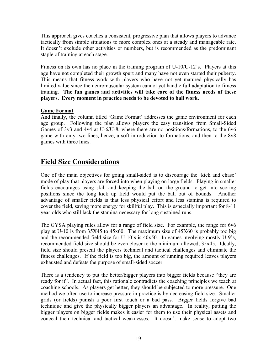This approach gives coaches a consistent, progressive plan that allows players to advance tactically from simple situations to more complex ones at a steady and manageable rate. It doesn't exclude other activities or numbers, but is recommended as the predominant staple of training at each stage.

Fitness on its own has no place in the training program of U-10/U-12's. Players at this age have not completed their growth spurt and many have not even started their puberty. This means that fitness work with players who have not yet matured physically has limited value since the neuromuscular system cannot yet handle full adaptation to fitness training. **The fun games and activities will take care of the fitness needs of these players. Every moment in practice needs to be devoted to ball work.**

### **Game Format**

And finally, the column titled 'Game Format' addresses the game environment for each age group. Following the plan allows players the easy transition from Small-Sided Games of 3v3 and 4v4 at U-6/U-8, where there are no positions/formations, to the 6v6 game with only two lines, hence, a soft introduction to formations, and then to the 8v8 games with three lines.

## **Field Size Considerations**

One of the main objectives for going small-sided is to discourage the 'kick and chase' mode of play that players are forced into when playing on large fields. Playing in smaller fields encourages using skill and keeping the ball on the ground to get into scoring positions since the long kick up field would put the ball out of bounds. Another advantage of smaller fields is that less physical effort and less stamina is required to cover the field, saving more energy for skillful play. This is especially important for 8-11 year-olds who still lack the stamina necessary for long sustained runs.

The GYSA playing rules allow for a range of field size. For example, the range for 6v6 play at U-10 is from 35X45 to 45x60. The maximum size of 45X60 is probably too big and the recommended field size for U-10's is 40x50. In games involving mostly U-9's, recommended field size should be even closer to the minimum allowed, 35x45. Ideally, field size should present the players technical and tactical challenges and eliminate the fitness challenges. If the field is too big, the amount of running required leaves players exhausted and defeats the purpose of small-sided soccer.

There is a tendency to put the better/bigger players into bigger fields because "they are ready for it". In actual fact, this rationale contradicts the coaching principles we teach at coaching schools. As players get better, they should be subjected to more pressure. One method we often use to increase pressure in practice is by decreasing field size. Smaller grids (or fields) punish a poor first touch or a bad pass. Bigger fields forgive bad technique and give the physically bigger players an advantage. In reality, putting the bigger players on bigger fields makes it easier for them to use their physical assets and conceal their technical and tactical weaknesses. It doesn't make sense to adopt two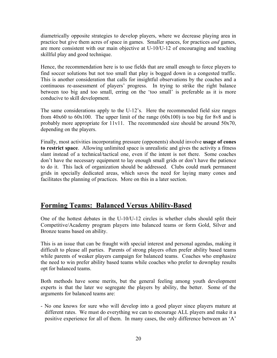diametrically opposite strategies to develop players, where we decrease playing area in practice but give them acres of space in games. Smaller spaces, for practices *and* games, are more consistent with our main objective at U-10/U-12 of encouraging and teaching skillful play and good technique.

Hence, the recommendation here is to use fields that are small enough to force players to find soccer solutions but not too small that play is bogged down in a congested traffic. This is another consideration that calls for insightful observations by the coaches and a continuous re-assessment of players' progress. In trying to strike the right balance between too big and too small, erring on the 'too small' is preferable as it is more conducive to skill development.

The same considerations apply to the U-12's. Here the recommended field size ranges from 40x60 to 60x100. The upper limit of the range  $(60x100)$  is too big for 8v8 and is probably more appropriate for 11v11. The recommended size should be around 50x70, depending on the players.

Finally, most activities incorporating pressure (opponents) should involve **usage of cones to restrict space**. Allowing unlimited space is unrealistic and gives the activity a fitness slant instead of a technical/tactical one, even if the intent is not there. Some coaches don't have the necessary equipment to lay enough small grids or don't have the patience to do it. This lack of organization should be addressed. Clubs could mark permanent grids in specially dedicated areas, which saves the need for laying many cones and facilitates the planning of practices. More on this in a later section.

## **Forming Teams: Balanced Versus Ability-Based**

One of the hottest debates in the U-10/U-12 circles is whether clubs should split their Competitive/Academy program players into balanced teams or form Gold, Silver and Bronze teams based on ability.

This is an issue that can be fraught with special interest and personal agendas, making it difficult to please all parties. Parents of strong players often prefer ability based teams while parents of weaker players campaign for balanced teams. Coaches who emphasize the need to win prefer ability based teams while coaches who prefer to downplay results opt for balanced teams.

Both methods have some merits, but the general feeling among youth development experts is that the later we segregate the players by ability, the better. Some of the arguments for balanced teams are:

- No one knows for sure who will develop into a good player since players mature at different rates. We must do everything we can to encourage ALL players and make it a positive experience for all of them. In many cases, the only difference between an 'A'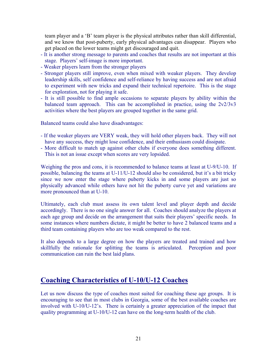team player and a 'B' team player is the physical attributes rather than skill differential, and we know that post-puberty, early physical advantages can disappear. Players who get placed on the lower teams might get discouraged and quit.

- It is another strong message to parents and coaches that results are not important at this stage. Players' self-image is more important.
- Weaker players learn from the stronger players
- Stronger players still improve, even when mixed with weaker players. They develop leadership skills, self confidence and self-reliance by having success and are not afraid to experiment with new tricks and expand their technical repertoire. This is the stage for exploration, not for playing it safe.
- It is still possible to find ample occasions to separate players by ability within the balanced team approach. This can be accomplished in practice, using the 2v2/3v3 activities where the best players are grouped together in the same grid.

Balanced teams could also have disadvantages:

- If the weaker players are VERY weak, they will hold other players back. They will not have any success, they might lose confidence, and their enthusiasm could dissipate.
- More difficult to match up against other clubs if everyone does something different. This is not an issue except when scores are very lopsided.

Weighing the pros and cons, it is recommended to balance teams at least at U-9/U-10. If possible, balancing the teams at U-11/U-12 should also be considered, but it's a bit tricky since we now enter the stage where puberty kicks in and some players are just so physically advanced while others have not hit the puberty curve yet and variations are more pronounced than at U-10.

Ultimately, each club must assess its own talent level and player depth and decide accordingly. There is no one single answer for all. Coaches should analyze the players at each age group and decide on the arrangement that suits their players' specific needs. In some instances where numbers dictate, it might be better to have 2 balanced teams and a third team containing players who are too weak compared to the rest.

It also depends to a large degree on how the players are treated and trained and how skillfully the rationale for splitting the teams is articulated. Perception and poor communication can ruin the best laid plans.

## **Coaching Characteristics of U-10/U-12 Coaches**

Let us now discuss the type of coaches most suited for coaching these age groups. It is encouraging to see that in most clubs in Georgia, some of the best available coaches are involved with U-10/U-12's. There is certainly a greater appreciation of the impact that quality programming at U-10/U-12 can have on the long-term health of the club.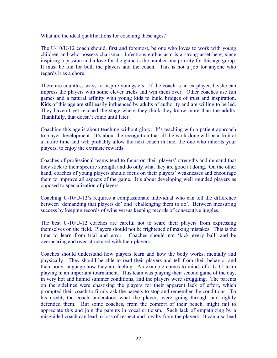What are the ideal qualifications for coaching these ages?

The U-10/U-12 coach should, first and foremost, be one who loves to work with young children and who possess charisma. Infectious enthusiasm is a strong asset here, since inspiring a passion and a love for the game is the number one priority for this age group. It must be fun for both the players and the coach. This is not a job for anyone who regards it as a chore.

There are countless ways to inspire youngsters. If the coach is an ex-player, he/she can impress the players with some clever tricks and win them over. Other coaches use fun games and a natural affinity with young kids to build bridges of trust and inspiration. Kids of this age are still easily influenced by adults of authority and are willing to be led. They haven't yet reached the stage where they think they know more than the adults. Thankfully, that doesn't come until later.

Coaching this age is about teaching without glory. It's teaching with a patient approach to player development. It's about the recognition that all the work done will bear fruit at a future time and will probably allow the next coach in line, the one who inherits your players, to enjoy the extrinsic rewards.

Coaches of professional teams tend to focus on their players' strengths and demand that they stick to their specific strength and do only what they are good at doing. On the other hand, coaches of young players should focus on their players' weaknesses and encourage them to improve all aspects of the game. It's about developing well rounded players as opposed to specialization of players.

Coaching U-10/U-12's requires a compassionate individual who can tell the difference between 'demanding that players do' and 'challenging them to do'. Between measuring success by keeping records of wins versus keeping records of consecutive juggles.

The best U-10/U-12 coaches are careful not to scare their players from expressing themselves on the field. Players should not be frightened of making mistakes. This is the time to learn from trial and error. Coaches should not 'kick every ball' and be overbearing and over-structured with their players.

Coaches should understand how players learn and how the body works, mentally and physically. They should be able to read their players and tell from their behavior and their body language how they are feeling. An example comes to mind, of a U-12 team playing in an important tournament. This team was playing their second game of the day, in very hot and humid summer conditions, and the players were struggling. The parents on the sidelines were chastising the players for their apparent lack of effort, which prompted their coach to firmly ask the parents to stop and remember the conditions. To his credit, the coach understood what the players were going through and rightly defended them. But some coaches, from the comfort of their bench, might fail to appreciate this and join the parents in vocal criticism. Such lack of empathizing by a misguided coach can lead to loss of respect and loyalty from the players. It can also lead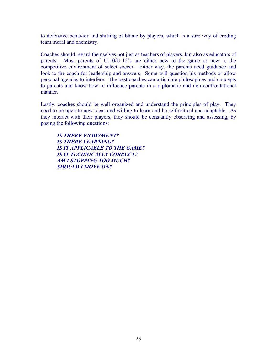to defensive behavior and shifting of blame by players, which is a sure way of eroding team moral and chemistry.

Coaches should regard themselves not just as teachers of players, but also as educators of parents. Most parents of U-10/U-12's are either new to the game or new to the competitive environment of select soccer. Either way, the parents need guidance and look to the coach for leadership and answers. Some will question his methods or allow personal agendas to interfere. The best coaches can articulate philosophies and concepts to parents and know how to influence parents in a diplomatic and non-confrontational manner.

Lastly, coaches should be well organized and understand the principles of play. They need to be open to new ideas and willing to learn and be self-critical and adaptable. As they interact with their players, they should be constantly observing and assessing, by posing the following questions:

*IS THERE ENJOYMENT? IS THERE LEARNING? IS IT APPLICABLE TO THE GAME? IS IT TECHNICALLY CORRECT? AM I STOPPING TOO MUCH? SHOULD I MOVE ON?*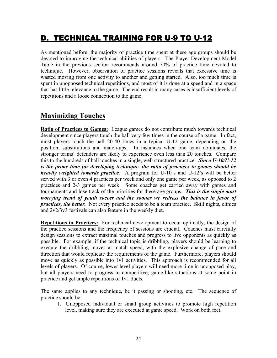# D. TECHNICAL TRAINING FOR U-9 TO U-12

As mentioned before, the majority of practice time spent at these age groups should be devoted to improving the technical abilities of players. The Player Development Model Table in the previous section recommends around 70% of practice time devoted to technique. However, observation of practice sessions reveals that excessive time is wasted moving from one activity to another and getting started. Also, too much time is spent in unopposed technical repetitions, and most of it is done at a speed and in a space that has little relevance to the game. The end result in many cases is insufficient levels of repetitions and a loose connection to the game.

## **Maximizing Touches**

**Ratio of Practices to Games:** League games do not contribute much towards technical development since players touch the ball very few times in the course of a game. In fact, most players touch the ball 20-40 times in a typical U-12 game, depending on the position, substitutions and match-ups. In instances when one team dominates, the stronger teams' defenders are likely to experience even less than 20 touches. Compare this to the hundreds of ball touches in a single, well structured practice. *Since U-10/U-12 is the prime time for developing technique, the ratio of practices to games should be heavily weighted towards practice.* A program for U-10's and U-12's will be better served with 3 or even 4 practices per week and only one game per week, as opposed to 2 practices and 2-3 games per week. Some coaches get carried away with games and tournaments and lose track of the priorities for these age groups. *This is the single most worrying trend of youth soccer and the sooner we redress the balance in favor of practices, the better.* Not every practice needs to be a team practice. Skill nights, clinics and 2v2/3v3 festivals can also feature in the weekly diet.

**Repetitions in Practices:** For technical development to occur optimally, the design of the practice sessions and the frequency of sessions are crucial. Coaches must carefully design sessions to extract maximal touches and progress to live opponents as quickly as possible. For example, if the technical topic is dribbling, players should be learning to execute the dribbling moves at match speed, with the explosive change of pace and direction that would replicate the requirements of the game. Furthermore, players should move as quickly as possible into 1v1 activities. This approach is recommended for all levels of players. Of course, lower level players will need more time in unopposed play, but all players need to progress to competitive, game-like situations at some point in practice and get ample repetitions of 1v1 duels.

The same applies to any technique, be it passing or shooting, etc. The sequence of practice should be:

1. Unopposed individual or small group activities to promote high repetition level, making sure they are executed at game speed. Work on both feet.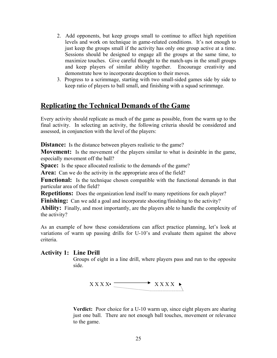- 2. Add opponents, but keep groups small to continue to affect high repetition levels and work on technique in game-related conditions. It's not enough to just keep the groups small if the activity has only one group active at a time. Sessions should be designed to engage all the groups at the same time, to maximize touches. Give careful thought to the match-ups in the small groups and keep players of similar ability together. Encourage creativity and demonstrate how to incorporate deception to their moves.
- 3. Progress to a scrimmage, starting with two small-sided games side by side to keep ratio of players to ball small, and finishing with a squad scrimmage.

## **Replicating the Technical Demands of the Game**

Every activity should replicate as much of the game as possible, from the warm up to the final activity. In selecting an activity, the following criteria should be considered and assessed, in conjunction with the level of the players:

**Distance:** Is the distance between players realistic to the game?

**Movement:** Is the movement of the players similar to what is desirable in the game, especially movement off the ball?

**Space:** Is the space allocated realistic to the demands of the game?

Area: Can we do the activity in the appropriate area of the field?

**Functional:** Is the technique chosen compatible with the functional demands in that particular area of the field?

**Repetitions:** Does the organization lend itself to many repetitions for each player?

**Finishing:** Can we add a goal and incorporate shooting/finishing to the activity?

Ability: Finally, and most importantly, are the players able to handle the complexity of the activity?

As an example of how these considerations can affect practice planning, let's look at variations of warm up passing drills for U-10's and evaluate them against the above criteria.

### **Activity 1: Line Drill**

Groups of eight in a line drill, where players pass and run to the opposite side.



**Verdict:** Poor choice for a U-10 warm up, since eight players are sharing just one ball. There are not enough ball touches, movement or relevance to the game.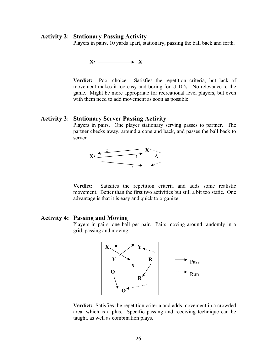#### **Activity 2: Stationary Passing Activity**

Players in pairs, 10 yards apart, stationary, passing the ball back and forth.



**Verdict:** Poor choice. Satisfies the repetition criteria, but lack of movement makes it too easy and boring for U-10's. No relevance to the game. Might be more appropriate for recreational level players, but even with them need to add movement as soon as possible.

#### **Activity 3: Stationary Server Passing Activity**

Players in pairs. One player stationary serving passes to partner. The partner checks away, around a cone and back, and passes the ball back to server.



**Verdict:** Satisfies the repetition criteria and adds some realistic movement. Better than the first two activities but still a bit too static. One advantage is that it is easy and quick to organize.

#### **Activity 4: Passing and Moving**

Players in pairs, one ball per pair. Pairs moving around randomly in a grid, passing and moving.



**Verdict:** Satisfies the repetition criteria and adds movement in a crowded area, which is a plus. Specific passing and receiving technique can be taught, as well as combination plays.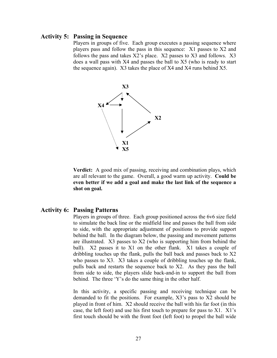#### **Activity 5: Passing in Sequence**

Players in groups of five. Each group executes a passing sequence where players pass and follow the pass in this sequence: X1 passes to X2 and follows the pass and takes X2's place. X2 passes to X3 and follows. X3 does a wall pass with X4 and passes the ball to X5 (who is ready to start the sequence again). X3 takes the place of X4 and X4 runs behind X5.



**Verdict:** A good mix of passing, receiving and combination plays, which are all relevant to the game. Overall, a good warm up activity. **Could be even better if we add a goal and make the last link of the sequence a shot on goal.** 

#### **Activity 6: Passing Patterns**

Players in groups of three. Each group positioned across the 6v6 size field to simulate the back line or the midfield line and passes the ball from side to side, with the appropriate adjustment of positions to provide support behind the ball. In the diagram below, the passing and movement patterns are illustrated. X3 passes to X2 (who is supporting him from behind the ball). X2 passes it to X1 on the other flank. X1 takes a couple of dribbling touches up the flank, pulls the ball back and passes back to X2 who passes to X3. X3 takes a couple of dribbling touches up the flank, pulls back and restarts the sequence back to X2. As they pass the ball from side to side, the players slide back-and-in to support the ball from behind. The three 'Y's do the same thing in the other half.

In this activity, a specific passing and receiving technique can be demanded to fit the positions. For example, X3's pass to X2 should be played in front of him. X2 should receive the ball with his far foot (in this case, the left foot) and use his first touch to prepare for pass to X1. X1's first touch should be with the front foot (left foot) to propel the ball wide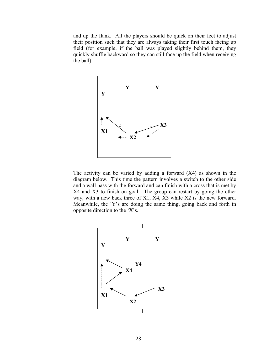and up the flank. All the players should be quick on their feet to adjust their position such that they are always taking their first touch facing up field (for example, if the ball was played slightly behind them, they quickly shuffle backward so they can still face up the field when receiving the ball).



 The activity can be varied by adding a forward (X4) as shown in the diagram below. This time the pattern involves a switch to the other side and a wall pass with the forward and can finish with a cross that is met by X4 and X3 to finish on goal. The group can restart by going the other way, with a new back three of X1, X4, X3 while X2 is the new forward. Meanwhile, the 'Y's are doing the same thing, going back and forth in opposite direction to the 'X's.

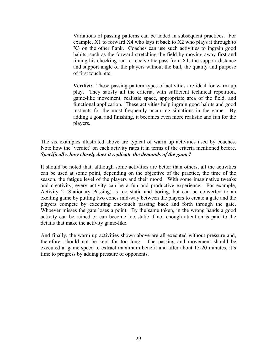Variations of passing patterns can be added in subsequent practices. For example, X1 to forward X4 who lays it back to X2 who plays it through to X3 on the other flank. Coaches can use such activities to ingrain good habits, such as the forward stretching the field by moving away first and timing his checking run to receive the pass from X1, the support distance and support angle of the players without the ball, the quality and purpose of first touch, etc.

**Verdict:** These passing-pattern types of activities are ideal for warm up play. They satisfy all the criteria, with sufficient technical repetition, game-like movement, realistic space, appropriate area of the field, and functional application. These activities help ingrain good habits and good instincts for the most frequently occurring situations in the game. By adding a goal and finishing, it becomes even more realistic and fun for the players.

The six examples illustrated above are typical of warm up activities used by coaches. Note how the 'verdict' on each activity rates it in terms of the criteria mentioned before. *Specifically, how closely does it replicate the demands of the game?*

It should be noted that, although some activities are better than others, all the activities can be used at some point, depending on the objective of the practice, the time of the season, the fatigue level of the players and their mood. With some imaginative tweaks and creativity, every activity can be a fun and productive experience. For example, Activity 2 (Stationary Passing) is too static and boring, but can be converted to an exciting game by putting two cones mid-way between the players to create a gate and the players compete by executing one-touch passing back and forth through the gate. Whoever misses the gate loses a point. By the same token, in the wrong hands a good activity can be ruined or can become too static if not enough attention is paid to the details that make the activity game-like.

And finally, the warm up activities shown above are all executed without pressure and, therefore, should not be kept for too long. The passing and movement should be executed at game speed to extract maximum benefit and after about 15-20 minutes, it's time to progress by adding pressure of opponents.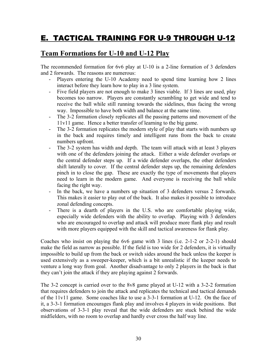# E. TACTICAL TRAINING FOR U-9 THROUGH U-12

## **Team Formations for U-10 and U-12 Play**

The recommended formation for 6v6 play at U-10 is a 2-line formation of 3 defenders and 2 forwards. The reasons are numerous:

- Players entering the U-10 Academy need to spend time learning how 2 lines interact before they learn how to play in a 3 line system.
- Five field players are not enough to make 3 lines viable. If 3 lines are used, play becomes too narrow. Players are constantly scrambling to get wide and tend to receive the ball while still running towards the sidelines, thus facing the wrong way. Impossible to have both width and balance at the same time.
- The 3-2 formation closely replicates all the passing patterns and movement of the 11v11 game. Hence a better transfer of learning to the big game.
- The 3-2 formation replicates the modern style of play that starts with numbers up in the back and requires timely and intelligent runs from the back to create numbers upfront.
- The 3-2 system has width and depth. The team will attack with at least 3 players with one of the defenders joining the attack. Either a wide defender overlaps or the central defender steps up. If a wide defender overlaps, the other defenders shift laterally to cover. If the central defender steps up, the remaining defenders pinch in to close the gap. These are exactly the type of movements that players need to learn in the modern game. And everyone is receiving the ball while facing the right way.
- In the back, we have a numbers up situation of 3 defenders versus 2 forwards. This makes it easier to play out of the back. It also makes it possible to introduce zonal defending concepts.
- There is a dearth of players in the U.S. who are comfortable playing wide, especially wide defenders with the ability to overlap. Playing with 3 defenders who are encouraged to overlap and attack will produce more flank play and result with more players equipped with the skill and tactical awareness for flank play.

Coaches who insist on playing the 6v6 game with 3 lines (i.e. 2-1-2 or 2-2-1) should make the field as narrow as possible. If the field is too wide for 2 defenders, it is virtually impossible to build up from the back or switch sides around the back unless the keeper is used extensively as a sweeper-keeper, which is a bit unrealistic if the keeper needs to venture a long way from goal. Another disadvantage to only 2 players in the back is that they can't join the attack if they are playing against 2 forwards.

The 3-2 concept is carried over to the 8v8 game played at U-12 with a 3-2-2 formation that requires defenders to join the attack and replicates the technical and tactical demands of the 11v11 game. Some coaches like to use a 3-3-1 formation at U-12. On the face of it, a 3-3-1 formation encourages flank play and involves 4 players in wide positions. But observations of 3-3-1 play reveal that the wide defenders are stuck behind the wide midfielders, with no room to overlap and hardly ever cross the half way line.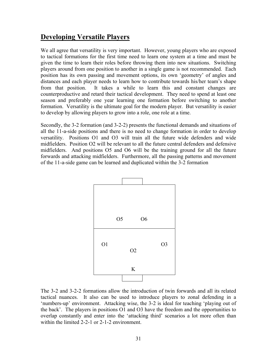## **Developing Versatile Players**

We all agree that versatility is very important. However, young players who are exposed to tactical formations for the first time need to learn one system at a time and must be given the time to learn their roles before throwing them into new situations. Switching players around from one position to another in a single game is not recommended. Each position has its own passing and movement options, its own 'geometry' of angles and distances and each player needs to learn how to contribute towards his/her team's shape from that position. It takes a while to learn this and constant changes are counterproductive and retard their tactical development. They need to spend at least one season and preferably one year learning one formation before switching to another formation. Versatility is the ultimate goal for the modern player. But versatility is easier to develop by allowing players to grow into a role, one role at a time.

Secondly, the 3-2 formation (and 3-2-2) presents the functional demands and situations of all the 11-a-side positions and there is no need to change formation in order to develop versatility. Positions O1 and O3 will train all the future wide defenders and wide midfielders. Position O2 will be relevant to all the future central defenders and defensive midfielders. And positions O5 and O6 will be the training ground for all the future forwards and attacking midfielders. Furthermore, all the passing patterns and movement of the 11-a-side game can be learned and duplicated within the 3-2 formation



The 3-2 and 3-2-2 formations allow the introduction of twin forwards and all its related tactical nuances. It also can be used to introduce players to zonal defending in a 'numbers-up' environment. Attacking wise, the 3-2 is ideal for teaching 'playing out of the back'. The players in positions O1 and O3 have the freedom and the opportunities to overlap constantly and enter into the 'attacking third' scenarios a lot more often than within the limited 2-2-1 or 2-1-2 environment.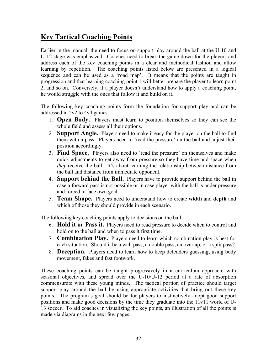## **Key Tactical Coaching Points**

Earlier in the manual, the need to focus on support play around the ball at the U-10 and U-12 stage was emphasized. Coaches need to break the game down for the players and address each of the key coaching points in a clear and methodical fashion and allow learning by repetition. The coaching points listed below are presented in a logical sequence and can be used as a 'road map'. It means that the points are taught in progression and that learning coaching point 1 will better prepare the player to learn point 2, and so on. Conversely, if a player doesn't understand how to apply a coaching point, he would struggle with the ones that follow it and build on it.

The following key coaching points form the foundation for support play and can be addressed in 2v2 to 4v4 games:

- 1. **Open Body.** Players must learn to position themselves so they can see the whole field and assess all their options.
- 2. **Support Angle.** Players need to make it easy for the player on the ball to find them with a pass. Players need to 'read the pressure' on the ball and adjust their position accordingly.
- 3. **Find Space.** Players also need to 'read the pressure' on themselves and make quick adjustments to get away from pressure so they have time and space when *they* receive the ball. It's about learning the relationship between distance from the ball and distance from immediate opponent.
- 4. **Support behind the Ball.** Players have to provide support behind the ball in case a forward pass is not possible or in case player with the ball is under pressure and forced to face own goal.
- 5. **Team Shape.** Players need to understand how to create **width** and **depth** and which of those they should provide in each scenario.

The following key coaching points apply to decisions on the ball:

- 6. **Hold it or Pass it.** Players need to read pressure to decide when to control and hold on to the ball and when to pass it first time.
- 7. **Combination Play.** Players need to learn which combination play is best for each situation. Should it be a wall pass, a double pass, an overlap, or a split pass?
- 8. **Deception.** Players need to learn how to keep defenders guessing, using body movement, fakes and fast footwork.

These coaching points can be taught progressively in a curriculum approach, with seasonal objectives, and spread over the U-10/U-12 period at a rate of absorption commensurate with these young minds. The tactical portion of practice should target support play around the ball by using appropriate activities that bring out these key points. The program's goal should be for players to instinctively adopt good support positions and make good decisions by the time they graduate into the 11v11 world of U-13 soccer. To aid coaches in visualizing the key points, an illustration of all the points is made via diagrams in the next few pages.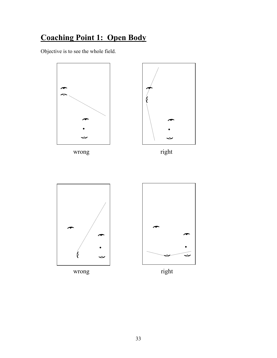# **Coaching Point 1: Open Body**

Objective is to see the whole field.



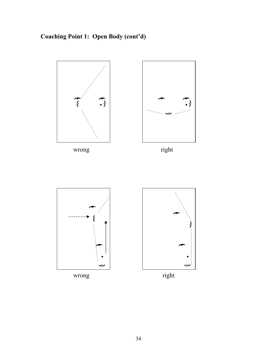# **Coaching Point 1: Open Body (cont'd)**

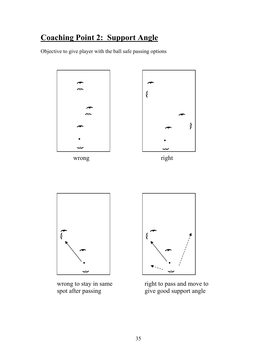# **Coaching Point 2: Support Angle**

Objective to give player with the ball safe passing options



wrong to stay in same right to pass and move to<br>spot after passing give good support angle  $\frac{1}{2}$  give good support angle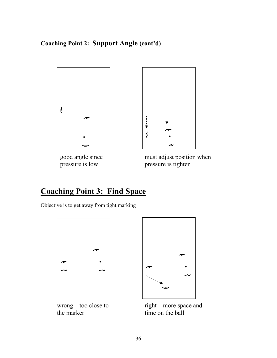## **Coaching Point 2: Support Angle (cont'd)**





good angle since must adjust position when<br>pressure is low pressure is tighter pressure is tighter

# **Coaching Point 3: Find Space**

Objective is to get away from tight marking





wrong – too close to right – more space and<br>the marker time on the ball time on the ball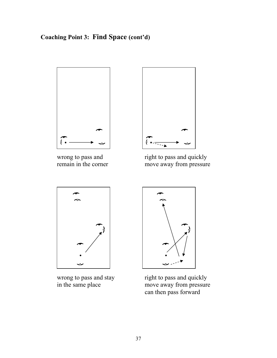## **Coaching Point 3: Find Space (cont'd)**





wrong to pass and<br>
right to pass and quickly<br>
remain in the corner<br>
right to pass and quickly<br>
move away from pressure move away from pressure





wrong to pass and stay right to pass and quickly<br>in the same place move away from pressure move away from pressure can then pass forward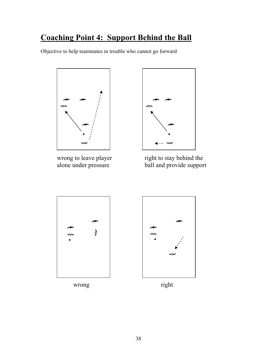# **Coaching Point 4: Support Behind the Ball**

Objective to help teammates in trouble who cannot go forward





wrong to leave player right to stay behind the<br>alone under pressure ball and provide suppor ball and provide support



wrong right

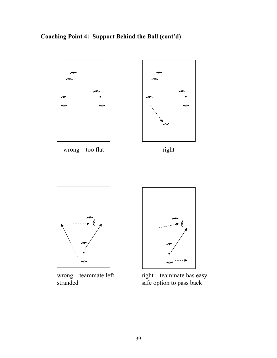**Coaching Point 4: Support Behind the Ball (cont'd)** 



wrong – teammate left right – teammate has easy<br>stranded safe option to pass back safe option to pass back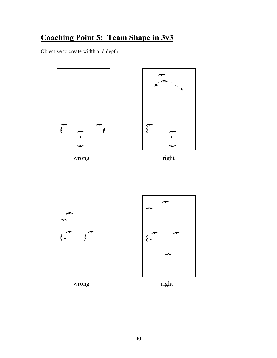# **Coaching Point 5: Team Shape in 3v3**

Objective to create width and depth





wrong right





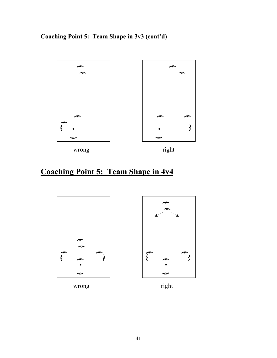**Coaching Point 5: Team Shape in 3v3 (cont'd)** 



# **Coaching Point 5: Team Shape in 4v4**





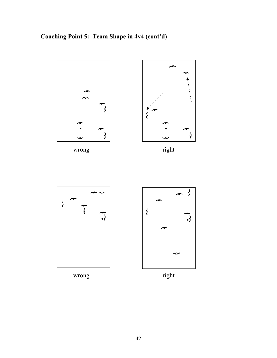**Coaching Point 5: Team Shape in 4v4 (cont'd)** 



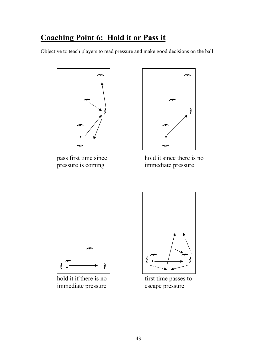# **Coaching Point 6: Hold it or Pass it**

Objective to teach players to read pressure and make good decisions on the ball





pass first time since<br>
hold it since there is no<br>
immediate pressure<br>
immediate pressure immediate pressure



hold it if there is no first time passes to immediate pressure escape pressure

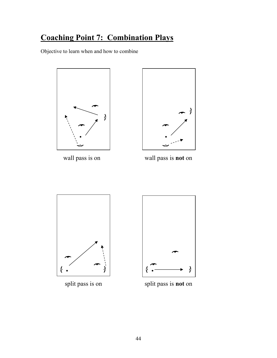# **Coaching Point 7: Combination Plays**

Objective to learn when and how to combine





wall pass is on wall pass is **not** on





split pass is on split pass is **not** on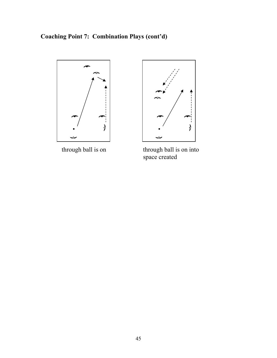**Coaching Point 7: Combination Plays (cont'd)** 





through ball is on through ball is on into space created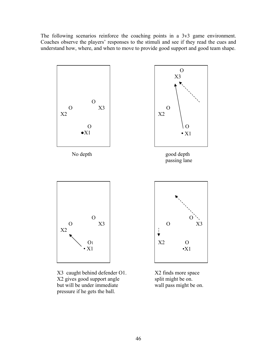The following scenarios reinforce the coaching points in a 3v3 game environment. Coaches observe the players' responses to the stimuli and see if they read the cues and understand how, where, and when to move to provide good support and good team shape.



X3 caught behind defender O1. X2 finds more space X2 gives good support angle split might be on.<br>but will be under immediate wall pass might be on. but will be under immediate pressure if he gets the ball.

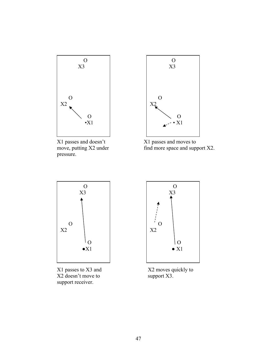

X1 passes and doesn't<br>  $X1$  passes and moves to<br>
find more space and sup pressure.



find more space and support  $X2$ .



X2 doesn't move to support X3. support receiver.



X1 passes to X3 and X2 moves quickly to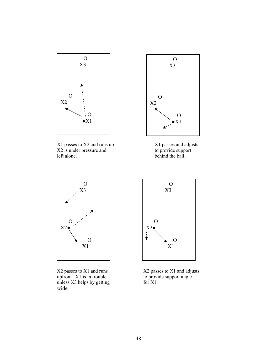

X1 passes to X2 and runs up X1 passes and adjusts<br>X2 is under pressure and to provide support  $X2$  is under pressure and left alone.



behind the ball.



X2 passes to X1 and runs X2 passes to X1 and adjusts<br>upfront. X1 is in trouble to provide support angle upfront.  $X1$  is in trouble unless  $X3$  helps by getting for  $X1$ . wide

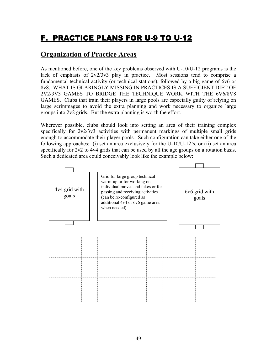# F. PRACTICE PLANS FOR U-9 TO U-12

## **Organization of Practice Areas**

As mentioned before, one of the key problems observed with U-10/U-12 programs is the lack of emphasis of  $2v2/3v3$  play in practice. Most sessions tend to comprise a fundamental technical activity (or technical stations), followed by a big game of 6v6 or 8v8. WHAT IS GLARINGLY MISSING IN PRACTICES IS A SUFFICIENT DIET OF 2V2/3V3 GAMES TO BRIDGE THE TECHNIQUE WORK WITH THE 6V6/8V8 GAMES. Clubs that train their players in large pools are especially guilty of relying on large scrimmages to avoid the extra planning and work necessary to organize large groups into 2v2 grids. But the extra planning is worth the effort.

Wherever possible, clubs should look into setting an area of their training complex specifically for  $2v2/3v3$  activities with permanent markings of multiple small grids enough to accommodate their player pools. Such configuration can take either one of the following approaches: (i) set an area exclusively for the U-10/U-12's, or (ii) set an area specifically for 2v2 to 4v4 grids that can be used by all the age groups on a rotation basis. Such a dedicated area could conceivably look like the example below:

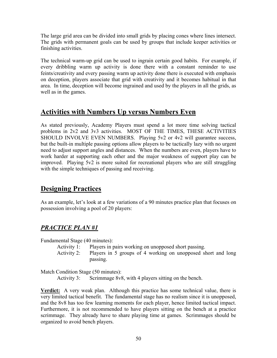The large grid area can be divided into small grids by placing cones where lines intersect. The grids with permanent goals can be used by groups that include keeper activities or finishing activities.

The technical warm-up grid can be used to ingrain certain good habits. For example, if every dribbling warm up activity is done there with a constant reminder to use feints/creativity and every passing warm up activity done there is executed with emphasis on deception, players associate that grid with creativity and it becomes habitual in that area. In time, deception will become ingrained and used by the players in all the grids, as well as in the games.

## **Activities with Numbers Up versus Numbers Even**

As stated previously, Academy Players must spend a lot more time solving tactical problems in 2v2 and 3v3 activities. MOST OF THE TIMES, THESE ACTIVITIES SHOULD INVOLVE EVEN NUMBERS. Playing 5v2 or 4v2 will guarantee success, but the built-in multiple passing options allow players to be tactically lazy with no urgent need to adjust support angles and distances. When the numbers are even, players have to work harder at supporting each other and the major weakness of support play can be improved. Playing 5v2 is more suited for recreational players who are still struggling with the simple techniques of passing and receiving.

## **Designing Practices**

As an example, let's look at a few variations of a 90 minutes practice plan that focuses on possession involving a pool of 20 players:

## *PRACTICE PLAN #1*

Fundamental Stage (40 minutes):

- Activity 1: Players in pairs working on unopposed short passing.
- Activity 2: Players in 5 groups of 4 working on unopposed short and long passing.

Match Condition Stage (50 minutes):

Activity 3: Scrimmage 8v8, with 4 players sitting on the bench.

**Verdict:** A very weak plan. Although this practice has some technical value, there is very limited tactical benefit. The fundamental stage has no realism since it is unopposed, and the 8v8 has too few learning moments for each player, hence limited tactical impact. Furthermore, it is not recommended to have players sitting on the bench at a practice scrimmage. They already have to share playing time at games. Scrimmages should be organized to avoid bench players.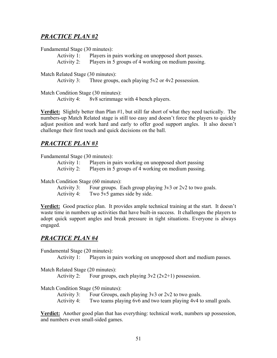### *PRACTICE PLAN #2*

#### Fundamental Stage (30 minutes):

Activity 1: Players in pairs working on unopposed short passes.

Activity 2: Players in 5 groups of 4 working on medium passing.

#### Match Related Stage (30 minutes):

Activity 3: Three groups, each playing 5v2 or 4v2 possession.

Match Condition Stage (30 minutes):

Activity 4: 8v8 scrimmage with 4 bench players.

**Verdict:** Slightly better than Plan #1, but still far short of what they need tactically. The numbers-up Match Related stage is still too easy and doesn't force the players to quickly adjust position and work hard and early to offer good support angles. It also doesn't challenge their first touch and quick decisions on the ball.

### *PRACTICE PLAN #3*

Fundamental Stage (30 minutes):

- Activity 1: Players in pairs working on unopposed short passing
- Activity 2: Players in 5 groups of 4 working on medium passing.

Match Condition Stage (60 minutes):

Activity 3: Four groups. Each group playing  $3v3$  or  $2v2$  to two goals. Activity 4: Two 5v5 games side by side.

**Verdict:** Good practice plan. It provides ample technical training at the start. It doesn't waste time in numbers up activities that have built-in success. It challenges the players to adopt quick support angles and break pressure in tight situations. Everyone is always engaged.

### *PRACTICE PLAN #4*

Fundamental Stage (20 minutes):

Activity 1: Players in pairs working on unopposed short and medium passes.

Match Related Stage (20 minutes):

Activity 2: Four groups, each playing  $3v^2$  ( $2v^2+1$ ) possession.

Match Condition Stage (50 minutes):

Activity 3: Four Groups, each playing 3v3 or 2v2 to two goals.

Activity 4: Two teams playing 6v6 and two team playing 4v4 to small goals.

**Verdict:** Another good plan that has everything: technical work, numbers up possession, and numbers even small-sided games.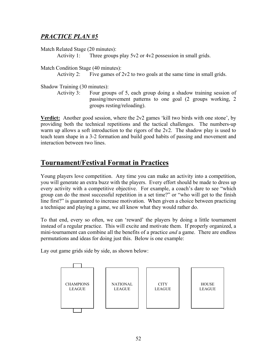## *PRACTICE PLAN #5*

Match Related Stage (20 minutes):

Activity 1: Three groups play 5v2 or 4v2 possession in small grids.

Match Condition Stage (40 minutes):

Activity 2: Five games of  $2v2$  to two goals at the same time in small grids.

Shadow Training (30 minutes):

Activity 3: Four groups of 5, each group doing a shadow training session of passing/movement patterns to one goal (2 groups working, 2 groups resting/reloading).

**Verdict:** Another good session, where the 2v2 games 'kill two birds with one stone', by providing both the technical repetitions and the tactical challenges. The numbers-up warm up allows a soft introduction to the rigors of the 2v2. The shadow play is used to teach team shape in a 3-2 formation and build good habits of passing and movement and interaction between two lines.

## **Tournament/Festival Format in Practices**

Young players love competition. Any time you can make an activity into a competition, you will generate an extra buzz with the players. Every effort should be made to dress up every activity with a competitive objective. For example, a coach's dare to see "which group can do the most successful repetition in a set time?" or "who will get to the finish line first?" is guaranteed to increase motivation. When given a choice between practicing a technique and playing a game, we all know what they would rather do.

To that end, every so often, we can 'reward' the players by doing a little tournament instead of a regular practice. This will excite and motivate them. If properly organized, a mini-tournament can combine all the benefits of a practice *and* a game. There are endless permutations and ideas for doing just this. Below is one example:

Lay out game grids side by side, as shown below:

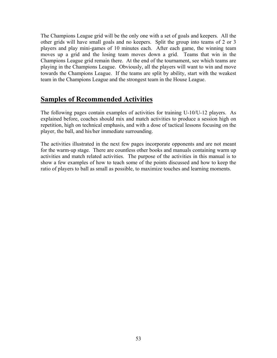The Champions League grid will be the only one with a set of goals and keepers. All the other grids will have small goals and no keepers. Split the group into teams of 2 or 3 players and play mini-games of 10 minutes each. After each game, the winning team moves up a grid and the losing team moves down a grid. Teams that win in the Champions League grid remain there. At the end of the tournament, see which teams are playing in the Champions League. Obviously, all the players will want to win and move towards the Champions League. If the teams are split by ability, start with the weakest team in the Champions League and the strongest team in the House League.

## **Samples of Recommended Activities**

The following pages contain examples of activities for training U-10/U-12 players. As explained before, coaches should mix and match activities to produce a session high on repetition, high on technical emphasis, and with a dose of tactical lessons focusing on the player, the ball, and his/her immediate surrounding.

The activities illustrated in the next few pages incorporate opponents and are not meant for the warm-up stage. There are countless other books and manuals containing warm up activities and match related activities. The purpose of the activities in this manual is to show a few examples of how to teach some of the points discussed and how to keep the ratio of players to ball as small as possible, to maximize touches and learning moments.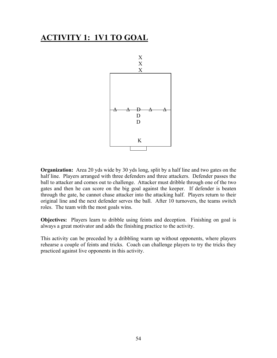## **ACTIVITY 1: 1V1 TO GOAL**



**Organization:** Area 20 yds wide by 30 yds long, split by a half line and two gates on the half line. Players arranged with three defenders and three attackers. Defender passes the ball to attacker and comes out to challenge. Attacker must dribble through one of the two gates and then he can score on the big goal against the keeper. If defender is beaten through the gate, he cannot chase attacker into the attacking half. Players return to their original line and the next defender serves the ball. After 10 turnovers, the teams switch roles. The team with the most goals wins.

**Objectives:** Players learn to dribble using feints and deception. Finishing on goal is always a great motivator and adds the finishing practice to the activity.

This activity can be preceded by a dribbling warm up without opponents, where players rehearse a couple of feints and tricks. Coach can challenge players to try the tricks they practiced against live opponents in this activity.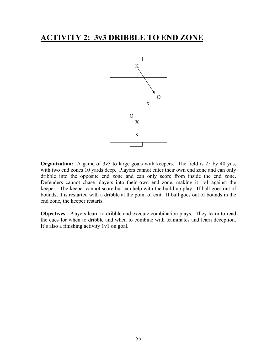## **ACTIVITY 2: 3v3 DRIBBLE TO END ZONE**



**Organization:** A game of 3v3 to large goals with keepers. The field is 25 by 40 yds, with two end zones 10 yards deep. Players cannot enter their own end zone and can only dribble into the opposite end zone and can only score from inside the end zone. Defenders cannot chase players into their own end zone, making it 1v1 against the keeper. The keeper cannot score but can help with the build up play. If ball goes out of bounds, it is restarted with a dribble at the point of exit. If ball goes out of bounds in the end zone, the keeper restarts.

**Objectives:** Players learn to dribble and execute combination plays. They learn to read the cues for when to dribble and when to combine with teammates and learn deception. It's also a finishing activity 1v1 on goal.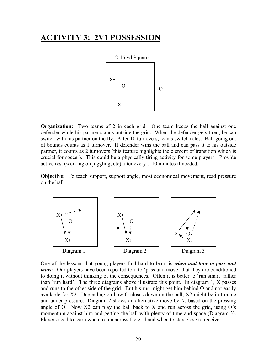## **ACTIVITY 3: 2V1 POSSESSION**



**Organization:** Two teams of 2 in each grid. One team keeps the ball against one defender while his partner stands outside the grid. When the defender gets tired, he can switch with his partner on the fly. After 10 turnovers, teams switch roles. Ball going out of bounds counts as 1 turnover. If defender wins the ball and can pass it to his outside partner, it counts as 2 turnovers (this feature highlights the element of transition which is crucial for soccer). This could be a physically tiring activity for some players. Provide active rest (working on juggling, etc) after every 5-10 minutes if needed.

**Objective:** To teach support, support angle, most economical movement, read pressure on the ball.



One of the lessons that young players find hard to learn is *when and how to pass and move*. Our players have been repeated told to 'pass and move' that they are conditioned to doing it without thinking of the consequences. Often it is better to 'run smart' rather than 'run hard'. The three diagrams above illustrate this point. In diagram 1, X passes and runs to the other side of the grid. But his run might get him behind O and not easily available for X2. Depending on how O closes down on the ball, X2 might be in trouble and under pressure. Diagram 2 shows an alternative move by X, based on the pressing angle of O. Now X2 can play the ball back to X and run across the grid, using  $O<sup>s</sup>$ momentum against him and getting the ball with plenty of time and space (Diagram 3). Players need to learn when to run across the grid and when to stay close to receiver.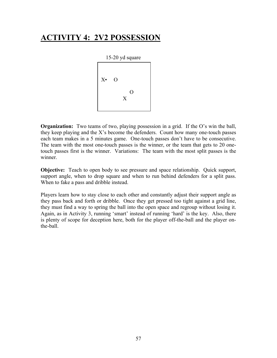# **ACTIVITY 4: 2V2 POSSESSION**



**Organization:** Two teams of two, playing possession in a grid. If the O's win the ball, they keep playing and the X's become the defenders. Count how many one-touch passes each team makes in a 5 minutes game. One-touch passes don't have to be consecutive. The team with the most one-touch passes is the winner, or the team that gets to 20 onetouch passes first is the winner. Variations: The team with the most split passes is the winner.

**Objective:** Teach to open body to see pressure and space relationship. Quick support, support angle, when to drop square and when to run behind defenders for a split pass. When to fake a pass and dribble instead.

Players learn how to stay close to each other and constantly adjust their support angle as they pass back and forth or dribble. Once they get pressed too tight against a grid line, they must find a way to spring the ball into the open space and regroup without losing it. Again, as in Activity 3, running 'smart' instead of running 'hard' is the key. Also, there is plenty of scope for deception here, both for the player off-the-ball and the player onthe-ball.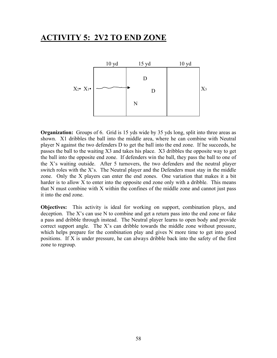# **ACTIVITY 5: 2V2 TO END ZONE**



**Organization:** Groups of 6. Grid is 15 yds wide by 35 yds long, split into three areas as shown. X1 dribbles the ball into the middle area, where he can combine with Neutral player N against the two defenders D to get the ball into the end zone. If he succeeds, he passes the ball to the waiting X3 and takes his place. X3 dribbles the opposite way to get the ball into the opposite end zone. If defenders win the ball, they pass the ball to one of the X's waiting outside. After 5 turnovers, the two defenders and the neutral player switch roles with the X's. The Neutral player and the Defenders must stay in the middle zone. Only the X players can enter the end zones. One variation that makes it a bit harder is to allow X to enter into the opposite end zone only with a dribble. This means that N must combine with X within the confines of the middle zone and cannot just pass it into the end zone.

**Objectives:** This activity is ideal for working on support, combination plays, and deception. The X's can use N to combine and get a return pass into the end zone or fake a pass and dribble through instead. The Neutral player learns to open body and provide correct support angle. The X's can dribble towards the middle zone without pressure, which helps prepare for the combination play and gives N more time to get into good positions. If X is under pressure, he can always dribble back into the safety of the first zone to regroup.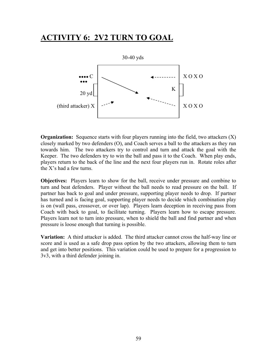# **ACTIVITY 6: 2V2 TURN TO GOAL**



**Organization:** Sequence starts with four players running into the field, two attackers (X) closely marked by two defenders (O), and Coach serves a ball to the attackers as they run towards him. The two attackers try to control and turn and attack the goal with the Keeper. The two defenders try to win the ball and pass it to the Coach. When play ends, players return to the back of the line and the next four players run in. Rotate roles after the X's had a few turns.

**Objectives:** Players learn to show for the ball, receive under pressure and combine to turn and beat defenders. Player without the ball needs to read pressure on the ball. If partner has back to goal and under pressure, supporting player needs to drop. If partner has turned and is facing goal, supporting player needs to decide which combination play is on (wall pass, crossover, or over lap). Players learn deception in receiving pass from Coach with back to goal, to facilitate turning. Players learn how to escape pressure. Players learn not to turn into pressure, when to shield the ball and find partner and when pressure is loose enough that turning is possible.

**Variation:** A third attacker is added. The third attacker cannot cross the half-way line or score and is used as a safe drop pass option by the two attackers, allowing them to turn and get into better positions. This variation could be used to prepare for a progression to 3v3, with a third defender joining in.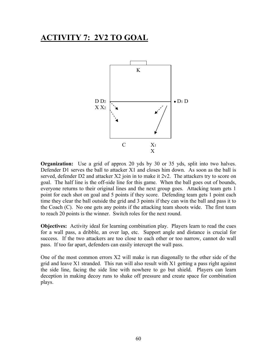## **ACTIVITY 7: 2V2 TO GOAL**



**Organization:** Use a grid of approx 20 yds by 30 or 35 yds, split into two halves. Defender D1 serves the ball to attacker X1 and closes him down. As soon as the ball is served, defender D2 and attacker  $X2$  join in to make it  $2v2$ . The attackers try to score on goal. The half line is the off-side line for this game. When the ball goes out of bounds, everyone returns to their original lines and the next group goes. Attacking team gets 1 point for each shot on goal and 5 points if they score. Defending team gets 1 point each time they clear the ball outside the grid and 3 points if they can win the ball and pass it to the Coach (C). No one gets any points if the attacking team shoots wide. The first team to reach 20 points is the winner. Switch roles for the next round.

**Objectives:** Activity ideal for learning combination play. Players learn to read the cues for a wall pass, a dribble, an over lap, etc. Support angle and distance is crucial for success. If the two attackers are too close to each other or too narrow, cannot do wall pass. If too far apart, defenders can easily intercept the wall pass.

One of the most common errors X2 will make is run diagonally to the other side of the grid and leave X1 stranded. This run will also result with X1 getting a pass right against the side line, facing the side line with nowhere to go but shield. Players can learn deception in making decoy runs to shake off pressure and create space for combination plays.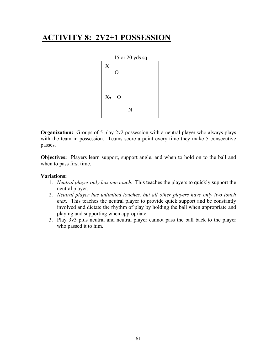# **ACTIVITY 8: 2V2+1 POSSESSION**



**Organization:** Groups of 5 play 2v2 possession with a neutral player who always plays with the team in possession. Teams score a point every time they make 5 consecutive passes.

**Objectives:** Players learn support, support angle, and when to hold on to the ball and when to pass first time.

#### **Variations:**

- 1. *Neutral player only has one touch*. This teaches the players to quickly support the neutral player.
- 2. *Neutral player has unlimited touches, but all other players have only two touch max*. This teaches the neutral player to provide quick support and be constantly involved and dictate the rhythm of play by holding the ball when appropriate and playing and supporting when appropriate.
- 3. Play 3v3 plus neutral and neutral player cannot pass the ball back to the player who passed it to him.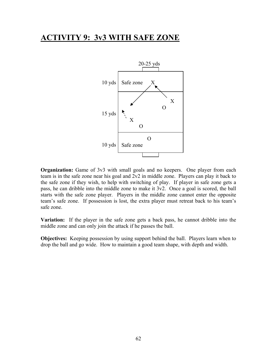## **ACTIVITY 9: 3v3 WITH SAFE ZONE**



**Organization:** Game of 3v3 with small goals and no keepers. One player from each team is in the safe zone near his goal and 2v2 in middle zone. Players can play it back to the safe zone if they wish, to help with switching of play. If player in safe zone gets a pass, he can dribble into the middle zone to make it 3v2. Once a goal is scored, the ball starts with the safe zone player. Players in the middle zone cannot enter the opposite team's safe zone. If possession is lost, the extra player must retreat back to his team's safe zone.

**Variation:** If the player in the safe zone gets a back pass, he cannot dribble into the middle zone and can only join the attack if he passes the ball.

**Objectives:** Keeping possession by using support behind the ball. Players learn when to drop the ball and go wide. How to maintain a good team shape, with depth and width.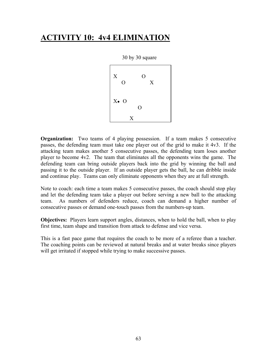# **ACTIVITY 10: 4v4 ELIMINATION**



**Organization:** Two teams of 4 playing possession. If a team makes 5 consecutive passes, the defending team must take one player out of the grid to make it 4v3. If the attacking team makes another 5 consecutive passes, the defending team loses another player to become 4v2. The team that eliminates all the opponents wins the game. The defending team can bring outside players back into the grid by winning the ball and passing it to the outside player. If an outside player gets the ball, he can dribble inside and continue play. Teams can only eliminate opponents when they are at full strength.

Note to coach: each time a team makes 5 consecutive passes, the coach should stop play and let the defending team take a player out before serving a new ball to the attacking team. As numbers of defenders reduce, coach can demand a higher number of consecutive passes or demand one-touch passes from the numbers-up team.

**Objectives:** Players learn support angles, distances, when to hold the ball, when to play first time, team shape and transition from attack to defense and vice versa.

This is a fast pace game that requires the coach to be more of a referee than a teacher. The coaching points can be reviewed at natural breaks and at water breaks since players will get irritated if stopped while trying to make successive passes.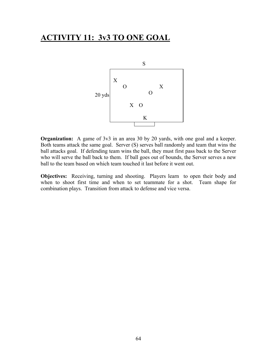## **ACTIVITY 11: 3v3 TO ONE GOAL**



**Organization:** A game of 3v3 in an area 30 by 20 yards, with one goal and a keeper. Both teams attack the same goal. Server (S) serves ball randomly and team that wins the ball attacks goal. If defending team wins the ball, they must first pass back to the Server who will serve the ball back to them. If ball goes out of bounds, the Server serves a new ball to the team based on which team touched it last before it went out.

**Objectives:** Receiving, turning and shooting. Players learn to open their body and when to shoot first time and when to set teammate for a shot. Team shape for combination plays. Transition from attack to defense and vice versa.